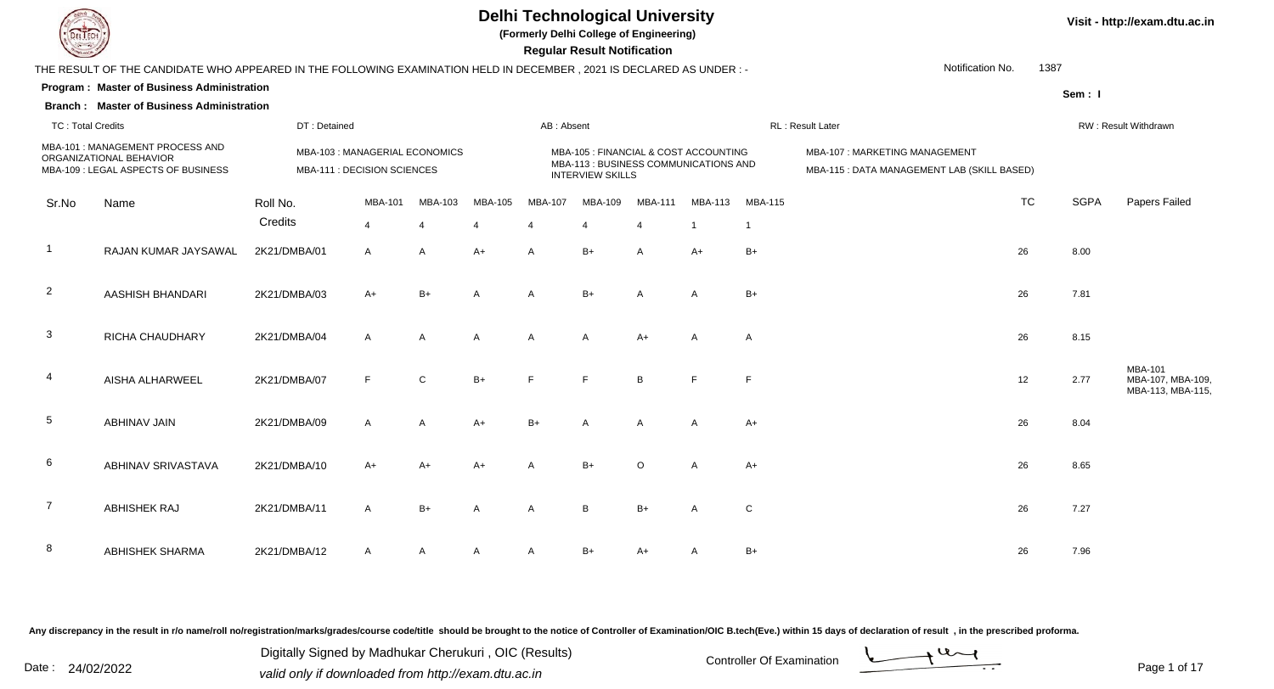

**(Formerly Delhi College of Engineering)**

 **Regular Result Notification**

| $\sim$                   |                                                                                                                      |                             |                                |              |                |                         | neguiai nesuit notinoation.                                                    |                |                         |                |                                            |           |             |                                      |
|--------------------------|----------------------------------------------------------------------------------------------------------------------|-----------------------------|--------------------------------|--------------|----------------|-------------------------|--------------------------------------------------------------------------------|----------------|-------------------------|----------------|--------------------------------------------|-----------|-------------|--------------------------------------|
|                          | THE RESULT OF THE CANDIDATE WHO APPEARED IN THE FOLLOWING EXAMINATION HELD IN DECEMBER, 2021 IS DECLARED AS UNDER :- |                             |                                |              |                |                         |                                                                                |                |                         |                | Notification No.                           | 1387      |             |                                      |
|                          | Program: Master of Business Administration                                                                           |                             |                                |              |                |                         |                                                                                |                |                         |                |                                            |           | Sem: I      |                                      |
|                          | <b>Branch: Master of Business Administration</b>                                                                     |                             |                                |              |                |                         |                                                                                |                |                         |                |                                            |           |             |                                      |
| <b>TC: Total Credits</b> |                                                                                                                      | DT: Detained                |                                |              |                | AB: Absent              |                                                                                |                |                         |                | RL: Result Later                           |           |             | RW: Result Withdrawn                 |
|                          | MBA-101 : MANAGEMENT PROCESS AND<br>ORGANIZATIONAL BEHAVIOR                                                          |                             | MBA-103 : MANAGERIAL ECONOMICS |              |                |                         | MBA-105 : FINANCIAL & COST ACCOUNTING<br>MBA-113 : BUSINESS COMMUNICATIONS AND |                |                         |                | MBA-107: MARKETING MANAGEMENT              |           |             |                                      |
|                          | MBA-109 : LEGAL ASPECTS OF BUSINESS                                                                                  | MBA-111 : DECISION SCIENCES |                                |              |                |                         | <b>INTERVIEW SKILLS</b>                                                        |                |                         |                | MBA-115: DATA MANAGEMENT LAB (SKILL BASED) |           |             |                                      |
| Sr.No                    | Name                                                                                                                 | Roll No.                    | <b>MBA-101</b>                 | MBA-103      | MBA-105        | <b>MBA-107</b>          | MBA-109                                                                        | <b>MBA-111</b> | <b>MBA-113</b>          | <b>MBA-115</b> |                                            | <b>TC</b> | <b>SGPA</b> | Papers Failed                        |
|                          |                                                                                                                      | Credits                     | $\overline{4}$                 | Δ            |                | $\overline{4}$          | $\Delta$                                                                       | 4              | $\overline{\mathbf{1}}$ |                |                                            |           |             |                                      |
| -1                       | RAJAN KUMAR JAYSAWAL                                                                                                 | 2K21/DMBA/01                | A                              | A            | $A+$           | $\overline{\mathsf{A}}$ | $B+$                                                                           | $\mathsf{A}$   | $A+$                    | $B+$           |                                            | 26        | 8.00        |                                      |
| $\overline{2}$           | AASHISH BHANDARI                                                                                                     | 2K21/DMBA/03                | A+                             | $B+$         | $\overline{A}$ | $\mathsf{A}$            | $B+$                                                                           | A              | A                       | $B+$           |                                            | 26        | 7.81        |                                      |
|                          |                                                                                                                      |                             |                                |              |                |                         |                                                                                |                |                         |                |                                            |           |             |                                      |
| 3                        | RICHA CHAUDHARY                                                                                                      | 2K21/DMBA/04                | $\mathsf{A}$                   | A            | $\overline{A}$ | $\overline{A}$          | $\overline{A}$                                                                 | $A+$           | A                       | A              |                                            | 26        | 8.15        |                                      |
|                          |                                                                                                                      |                             |                                |              |                |                         |                                                                                |                |                         |                |                                            |           |             | <b>MBA-101</b>                       |
| 4                        | AISHA ALHARWEEL                                                                                                      | 2K21/DMBA/07                | F                              | $\mathsf{C}$ | $B+$           | F                       | F                                                                              | B              | F                       | F              |                                            | 12        | 2.77        | MBA-107, MBA-109<br>MBA-113, MBA-115 |
|                          |                                                                                                                      |                             |                                |              |                |                         |                                                                                |                |                         |                |                                            |           |             |                                      |
| 5                        | <b>ABHINAV JAIN</b>                                                                                                  | 2K21/DMBA/09                | $\overline{A}$                 | $\mathsf{A}$ | $A+$           | $B+$                    | A                                                                              | $\overline{A}$ | $\overline{A}$          | A+             |                                            | 26        | 8.04        |                                      |
| 6                        | ABHINAV SRIVASTAVA                                                                                                   | 2K21/DMBA/10                | $A+$                           | A+           | $A+$           | $\overline{A}$          | $B+$                                                                           | $\circ$        | A                       | $A+$           |                                            | 26        | 8.65        |                                      |
|                          |                                                                                                                      |                             |                                |              |                |                         |                                                                                |                |                         |                |                                            |           |             |                                      |
| 7                        | <b>ABHISHEK RAJ</b>                                                                                                  | 2K21/DMBA/11                | $\overline{A}$                 | $B+$         | $\overline{A}$ | $\overline{A}$          | B                                                                              | $B+$           | A                       | $\mathbf C$    |                                            | 26        | 7.27        |                                      |
|                          |                                                                                                                      |                             |                                |              |                |                         |                                                                                |                |                         |                |                                            |           |             |                                      |
| 8                        | <b>ABHISHEK SHARMA</b>                                                                                               | 2K21/DMBA/12                | $\mathsf{A}$                   | A            | A              | $\overline{A}$          | B+                                                                             | $A+$           | A                       | $B+$           |                                            | 26        | 7.96        |                                      |

Any discrepancy in the result in r/o name/roll no/registration/marks/grades/course code/title should be brought to the notice of Controller of Examination/OIC B.tech(Eve.) within 15 days of declaration of result, in the pr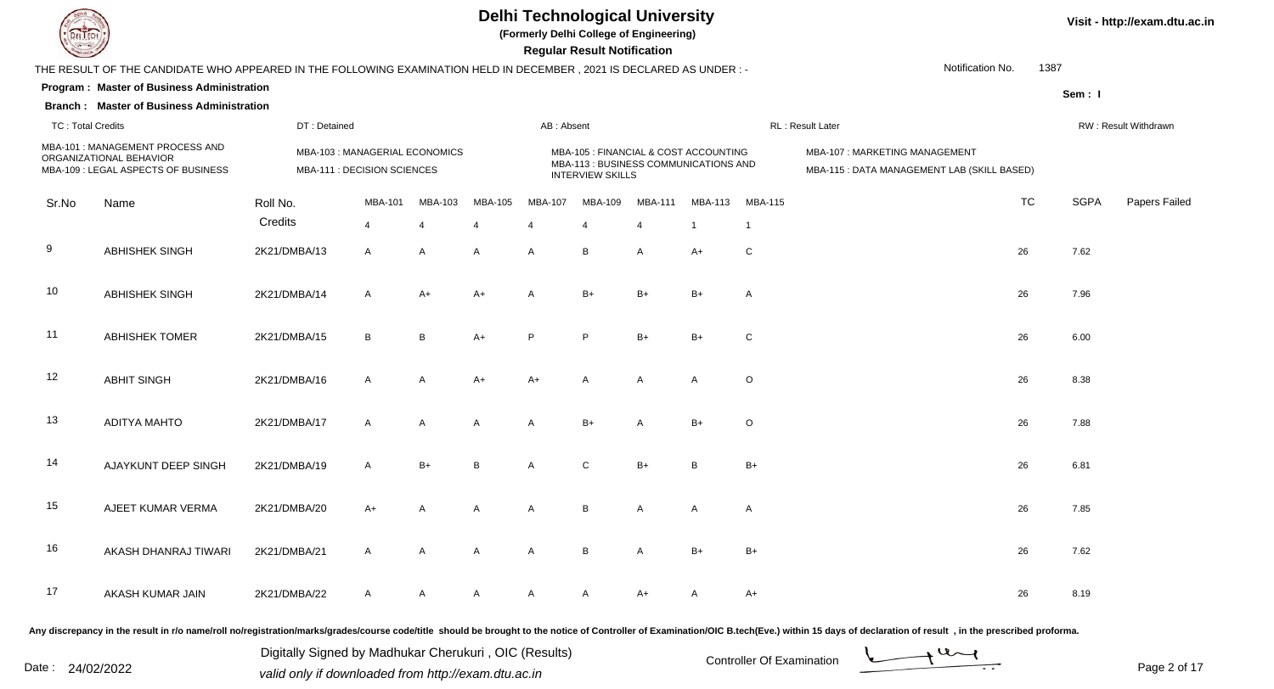

**(Formerly Delhi College of Engineering)**

 **Regular Result Notification**

|                          | THE RESULT OF THE CANDIDATE WHO APPEARED IN THE FOLLOWING EXAMINATION HELD IN DECEMBER, 2021 IS DECLARED AS UNDER :- |              |                                                               |                       |                |                         |                                                                                                           |                |                |                | Notification No.                                                             | 1387      |             |                      |
|--------------------------|----------------------------------------------------------------------------------------------------------------------|--------------|---------------------------------------------------------------|-----------------------|----------------|-------------------------|-----------------------------------------------------------------------------------------------------------|----------------|----------------|----------------|------------------------------------------------------------------------------|-----------|-------------|----------------------|
|                          | Program: Master of Business Administration                                                                           |              |                                                               |                       |                |                         |                                                                                                           |                |                |                |                                                                              |           | Sem: I      |                      |
|                          | <b>Branch: Master of Business Administration</b>                                                                     |              |                                                               |                       |                |                         |                                                                                                           |                |                |                |                                                                              |           |             |                      |
| <b>TC: Total Credits</b> |                                                                                                                      | DT: Detained |                                                               |                       |                | AB: Absent              |                                                                                                           |                |                |                | RL: Result Later                                                             |           |             | RW: Result Withdrawn |
|                          | MBA-101 : MANAGEMENT PROCESS AND<br>ORGANIZATIONAL BEHAVIOR<br>MBA-109 : LEGAL ASPECTS OF BUSINESS                   |              | MBA-103 : MANAGERIAL ECONOMICS<br>MBA-111 : DECISION SCIENCES |                       |                |                         | MBA-105 : FINANCIAL & COST ACCOUNTING<br>MBA-113 : BUSINESS COMMUNICATIONS AND<br><b>INTERVIEW SKILLS</b> |                |                |                | MBA-107: MARKETING MANAGEMENT<br>MBA-115 : DATA MANAGEMENT LAB (SKILL BASED) |           |             |                      |
| Sr.No                    | Name                                                                                                                 | Roll No.     | <b>MBA-101</b>                                                | MBA-103               | <b>MBA-105</b> | <b>MBA-107</b>          | MBA-109                                                                                                   | MBA-111        | MBA-113        | <b>MBA-115</b> |                                                                              | <b>TC</b> | <b>SGPA</b> | Papers Failec        |
|                          |                                                                                                                      | Credits      | $\overline{4}$                                                | $\boldsymbol{\Delta}$ | $\overline{4}$ | $\overline{\mathbf{A}}$ | $\overline{4}$                                                                                            | $\overline{4}$ | $\overline{1}$ | $\overline{1}$ |                                                                              |           |             |                      |
| 9                        | <b>ABHISHEK SINGH</b>                                                                                                | 2K21/DMBA/13 | $\mathsf{A}$                                                  | A                     | A              | A                       | B                                                                                                         | Α              | $A+$           | ${\bf C}$      |                                                                              | 26        | 7.62        |                      |
| 10                       | <b>ABHISHEK SINGH</b>                                                                                                | 2K21/DMBA/14 | $\mathsf{A}$                                                  | $A+$                  | $A+$           | A                       | $B+$                                                                                                      | $B+$           | $B+$           | $\overline{A}$ |                                                                              | 26        | 7.96        |                      |
| 11                       | <b>ABHISHEK TOMER</b>                                                                                                | 2K21/DMBA/15 | B                                                             | B                     | $A+$           | P                       | P                                                                                                         | $B+$           | $B+$           | $\mathbf C$    |                                                                              | 26        | 6.00        |                      |
| 12                       | <b>ABHIT SINGH</b>                                                                                                   | 2K21/DMBA/16 | $\mathsf{A}$                                                  | A                     | $A+$           | $A+$                    | A                                                                                                         | $\overline{A}$ | $\overline{A}$ | $\circ$        |                                                                              | 26        | 8.38        |                      |
| 13                       | <b>ADITYA MAHTO</b>                                                                                                  | 2K21/DMBA/17 | $\mathsf{A}$                                                  | A                     | A              | A                       | $B+$                                                                                                      | $\mathsf{A}$   | $B+$           | $\circ$        |                                                                              | 26        | 7.88        |                      |
| 14                       | AJAYKUNT DEEP SINGH                                                                                                  | 2K21/DMBA/19 | $\mathsf{A}$                                                  | $B+$                  | B              | A                       | $\mathsf{C}$                                                                                              | $B+$           | $\overline{B}$ | $B+$           |                                                                              | 26        | 6.81        |                      |
| 15                       | AJEET KUMAR VERMA                                                                                                    | 2K21/DMBA/20 | $A+$                                                          | A                     | Α              | A                       | B                                                                                                         | $\overline{A}$ | $\mathsf{A}$   | $\mathsf{A}$   |                                                                              | 26        | 7.85        |                      |
| 16                       | AKASH DHANRAJ TIWARI                                                                                                 | 2K21/DMBA/21 | A                                                             | A                     | Α              | A                       | B                                                                                                         | $\mathsf{A}$   | $B+$           | $B+$           |                                                                              | 26        | 7.62        |                      |
| 17                       | AKASH KUMAR JAIN                                                                                                     | 2K21/DMBA/22 | A                                                             | A                     | A              | A                       | Α                                                                                                         | A+             | A              | A+             |                                                                              | 26        | 8.19        |                      |
|                          |                                                                                                                      |              |                                                               |                       |                |                         |                                                                                                           |                |                |                |                                                                              |           |             |                      |

Any discrepancy in the result in r/o name/roll no/registration/marks/grades/course code/title should be brought to the notice of Controller of Examination/OIC B.tech(Eve.) within 15 days of declaration of result, in the pr

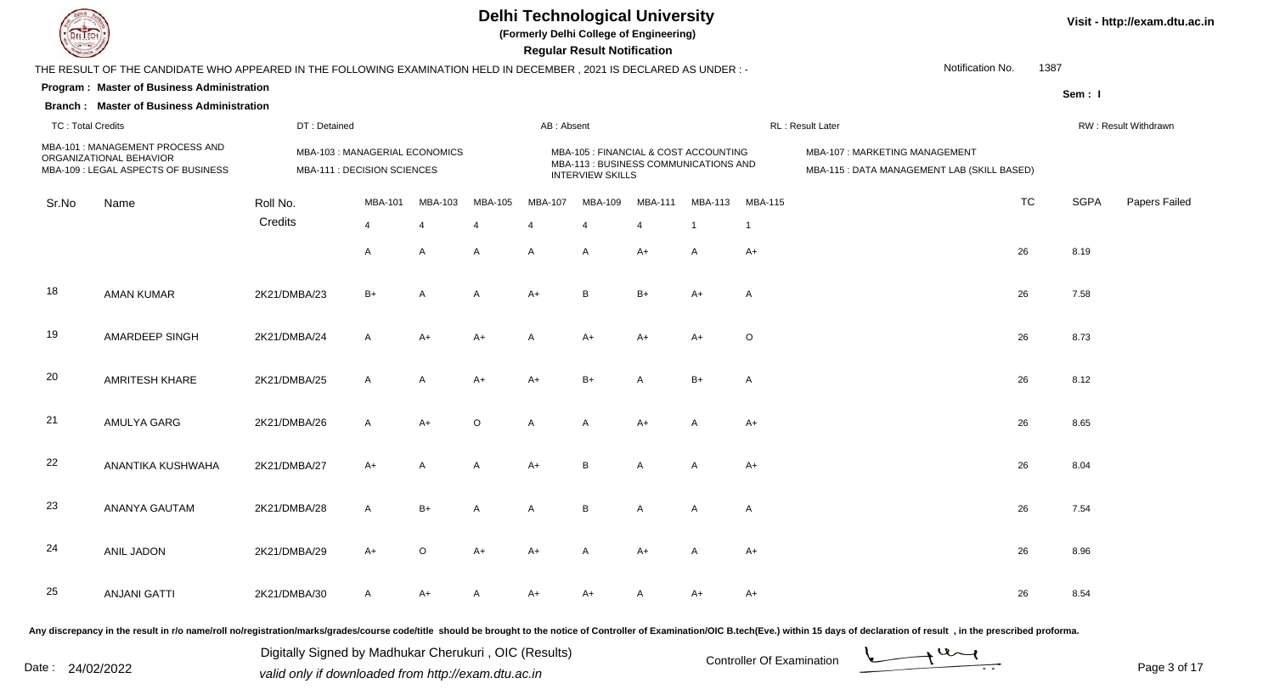

**(Formerly Delhi College of Engineering)**

 **Regular Result Notification**

| $\sim$                   |                                                                                                                      |              |                                                               |                |                |              | n <del>c</del> yular n <del>c</del> sult notification                                                     |              |                |                |                                                                              |           |             |                      |
|--------------------------|----------------------------------------------------------------------------------------------------------------------|--------------|---------------------------------------------------------------|----------------|----------------|--------------|-----------------------------------------------------------------------------------------------------------|--------------|----------------|----------------|------------------------------------------------------------------------------|-----------|-------------|----------------------|
|                          | THE RESULT OF THE CANDIDATE WHO APPEARED IN THE FOLLOWING EXAMINATION HELD IN DECEMBER, 2021 IS DECLARED AS UNDER :- |              |                                                               |                |                |              |                                                                                                           |              |                |                | Notification No.                                                             | 1387      |             |                      |
|                          | Program: Master of Business Administration                                                                           |              |                                                               |                |                |              |                                                                                                           |              |                |                |                                                                              |           | Sem: I      |                      |
|                          | <b>Branch: Master of Business Administration</b>                                                                     |              |                                                               |                |                |              |                                                                                                           |              |                |                |                                                                              |           |             |                      |
| <b>TC: Total Credits</b> |                                                                                                                      | DT: Detained |                                                               |                |                | AB: Absent   |                                                                                                           |              |                |                | RL : Result Later                                                            |           |             | RW: Result Withdrawn |
|                          | MBA-101 : MANAGEMENT PROCESS AND<br>ORGANIZATIONAL BEHAVIOR<br>MBA-109 : LEGAL ASPECTS OF BUSINESS                   |              | MBA-103 : MANAGERIAL ECONOMICS<br>MBA-111 : DECISION SCIENCES |                |                |              | MBA-105 : FINANCIAL & COST ACCOUNTING<br>MBA-113 : BUSINESS COMMUNICATIONS AND<br><b>INTERVIEW SKILLS</b> |              |                |                | MBA-107: MARKETING MANAGEMENT<br>MBA-115 : DATA MANAGEMENT LAB (SKILL BASED) |           |             |                      |
| Sr.No                    | Name                                                                                                                 | Roll No.     | MBA-101                                                       | MBA-103        | MBA-105        | MBA-107      | MBA-109                                                                                                   | MBA-111      | <b>MBA-113</b> | <b>MBA-115</b> |                                                                              | <b>TC</b> | <b>SGPA</b> | Papers Failed        |
|                          |                                                                                                                      | Credits      | $\overline{4}$                                                | $\overline{4}$ | $\overline{4}$ | 4            | 4                                                                                                         | 4            | $\overline{1}$ | $\mathbf{1}$   |                                                                              |           |             |                      |
|                          |                                                                                                                      |              | A                                                             | $\mathsf{A}$   | $\mathsf{A}$   | A            | A                                                                                                         | $A+$         | A              | $A+$           |                                                                              | 26        | 8.19        |                      |
| 18                       | <b>AMAN KUMAR</b>                                                                                                    | 2K21/DMBA/23 | $B+$                                                          | $\mathsf{A}$   | A              | $A+$         | B                                                                                                         | $B+$         | $A+$           | A              |                                                                              | 26        | 7.58        |                      |
| 19                       | AMARDEEP SINGH                                                                                                       | 2K21/DMBA/24 | $\mathsf{A}$                                                  | $A+$           | $A+$           | $\mathsf{A}$ | A+                                                                                                        | $A+$         | $A+$           | O              |                                                                              | 26        | 8.73        |                      |
| 20                       | AMRITESH KHARE                                                                                                       | 2K21/DMBA/25 | $\mathsf{A}$                                                  | $\mathsf{A}$   | $A+$           | $A+$         | $B+$                                                                                                      | A            | $B+$           | A              |                                                                              | 26        | 8.12        |                      |
| 21                       | AMULYA GARG                                                                                                          | 2K21/DMBA/26 | A                                                             | $A+$           | $\mathsf O$    | A            | A                                                                                                         | $A+$         | A              | $A+$           |                                                                              | 26        | 8.65        |                      |
| 22                       | ANANTIKA KUSHWAHA                                                                                                    | 2K21/DMBA/27 | $A+$                                                          | $\mathsf{A}$   | A              | $A+$         | B                                                                                                         | A            | A              | A+             |                                                                              | 26        | 8.04        |                      |
| 23                       | ANANYA GAUTAM                                                                                                        | 2K21/DMBA/28 | $\mathsf{A}$                                                  | $B+$           | $\overline{A}$ | $\mathsf{A}$ | $\, {\bf B}$                                                                                              | $\mathsf{A}$ | A              | A              |                                                                              | 26        | 7.54        |                      |
| 24                       | <b>ANIL JADON</b>                                                                                                    | 2K21/DMBA/29 | $A+$                                                          | $\circ$        | $A+$           | $A+$         | A                                                                                                         | $A+$         | A              | $A+$           |                                                                              | 26        | 8.96        |                      |
| 25                       | <b>ANJANI GATTI</b>                                                                                                  | 2K21/DMBA/30 | A                                                             | A+             | A              | A+           | A+                                                                                                        | A            | A+             | A+             |                                                                              | 26        | 8.54        |                      |
|                          |                                                                                                                      |              |                                                               |                |                |              |                                                                                                           |              |                |                |                                                                              |           |             |                      |

Any discrepancy in the result in r/o name/roll no/registration/marks/grades/course code/title should be brought to the notice of Controller of Examination/OIC B.tech(Eve.) within 15 days of declaration of result, in the pr

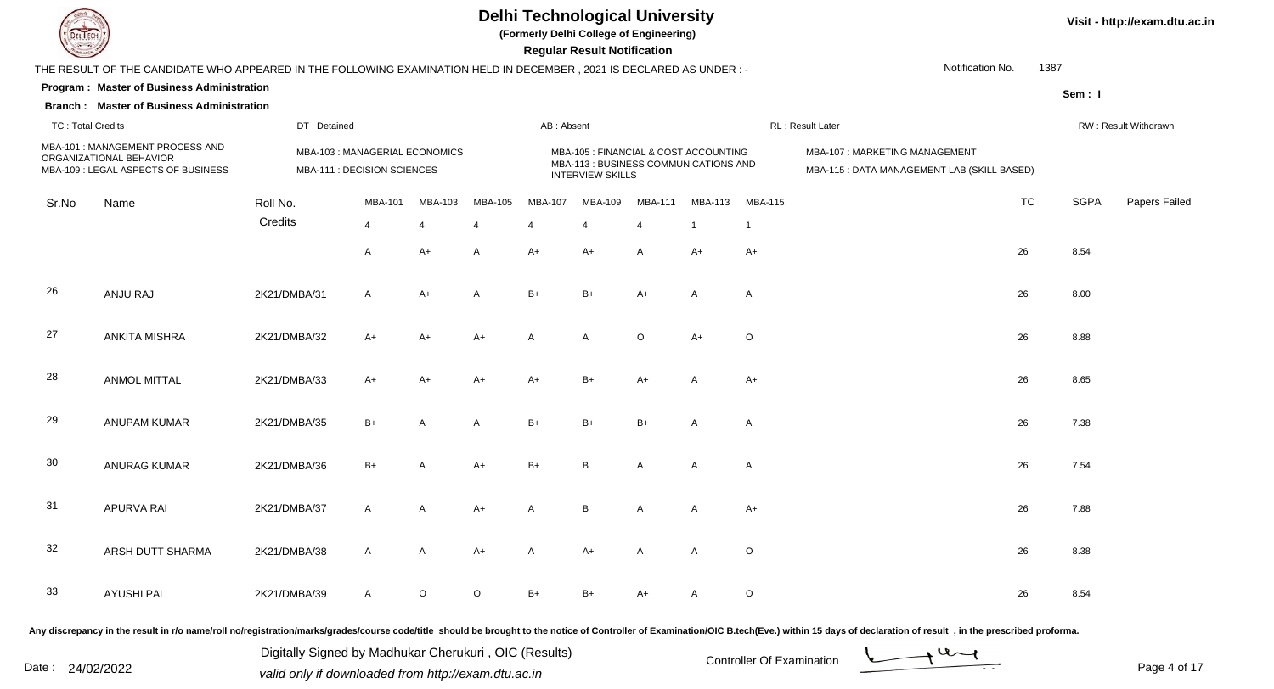

**(Formerly Delhi College of Engineering)**

 **Regular Result Notification**

|                          | THE RESULT OF THE CANDIDATE WHO APPEARED IN THE FOLLOWING EXAMINATION HELD IN DECEMBER, 2021 IS DECLARED AS UNDER :- |              |                                                               |                |                |            |                                                                                                           |                |                |                | Notification No.                                                             | 1387      |             |                      |
|--------------------------|----------------------------------------------------------------------------------------------------------------------|--------------|---------------------------------------------------------------|----------------|----------------|------------|-----------------------------------------------------------------------------------------------------------|----------------|----------------|----------------|------------------------------------------------------------------------------|-----------|-------------|----------------------|
|                          | Program: Master of Business Administration                                                                           |              |                                                               |                |                |            |                                                                                                           |                |                |                |                                                                              |           | Sem: I      |                      |
|                          | <b>Branch: Master of Business Administration</b>                                                                     |              |                                                               |                |                |            |                                                                                                           |                |                |                |                                                                              |           |             |                      |
| <b>TC: Total Credits</b> |                                                                                                                      | DT: Detained |                                                               |                |                | AB: Absent |                                                                                                           |                |                |                | RL: Result Later                                                             |           |             | RW: Result Withdrawn |
|                          | MBA-101 : MANAGEMENT PROCESS AND<br>ORGANIZATIONAL BEHAVIOR<br>MBA-109 : LEGAL ASPECTS OF BUSINESS                   |              | MBA-103 : MANAGERIAL ECONOMICS<br>MBA-111 : DECISION SCIENCES |                |                |            | MBA-105 : FINANCIAL & COST ACCOUNTING<br>MBA-113 : BUSINESS COMMUNICATIONS AND<br><b>INTERVIEW SKILLS</b> |                |                |                | MBA-107: MARKETING MANAGEMENT<br>MBA-115 : DATA MANAGEMENT LAB (SKILL BASED) |           |             |                      |
| Sr.No                    | Name                                                                                                                 | Roll No.     | MBA-101                                                       | MBA-103        | MBA-105        | MBA-107    | MBA-109                                                                                                   | <b>MBA-111</b> | MBA-113        | <b>MBA-115</b> |                                                                              | <b>TC</b> | <b>SGPA</b> | Papers Failed        |
|                          |                                                                                                                      | Credits      | $\overline{4}$                                                | $\overline{4}$ | $\overline{4}$ | 4          | 4                                                                                                         | $\overline{4}$ | $\overline{1}$ | $\mathbf 1$    |                                                                              |           |             |                      |
|                          |                                                                                                                      |              | A                                                             | $A+$           | A              | $A+$       | $A+$                                                                                                      | A              | $A+$           | $A+$           |                                                                              | 26        | 8.54        |                      |
| 26                       | ANJU RAJ                                                                                                             | 2K21/DMBA/31 | $\mathsf{A}$                                                  | $A+$           | A              | $B+$       | $B+$                                                                                                      | $A+$           | A              | A              |                                                                              | 26        | 8.00        |                      |
| 27                       | <b>ANKITA MISHRA</b>                                                                                                 | 2K21/DMBA/32 | $A+$                                                          | A+             | A+             | A          | A                                                                                                         | O              | $A+$           | $\circ$        |                                                                              | 26        | 8.88        |                      |
| 28                       | <b>ANMOL MITTAL</b>                                                                                                  | 2K21/DMBA/33 | $A+$                                                          | $A+$           | $A+$           | $A+$       | $B+$                                                                                                      | $A+$           | A              | $A+$           |                                                                              | 26        | 8.65        |                      |
| 29                       | <b>ANUPAM KUMAR</b>                                                                                                  | 2K21/DMBA/35 | $B+$                                                          | A              | A              | $B+$       | $B+$                                                                                                      | $B+$           | A              | A              |                                                                              | 26        | 7.38        |                      |
| 30                       | <b>ANURAG KUMAR</b>                                                                                                  | 2K21/DMBA/36 | $B+$                                                          |                | $A+$           | $B+$       | B                                                                                                         | A              | A              | A              |                                                                              | 26        | 7.54        |                      |
| 31                       | APURVA RAI                                                                                                           | 2K21/DMBA/37 | $\mathsf{A}$                                                  | Α              | $A+$           | A          | $\, {\sf B}$                                                                                              | $\mathsf{A}$   | A              | A+             |                                                                              | 26        | 7.88        |                      |
| 32                       | ARSH DUTT SHARMA                                                                                                     | 2K21/DMBA/38 | $\mathsf{A}$                                                  | $\mathsf{A}$   | $A+$           | A          | $A+$                                                                                                      | A              | A              | O              |                                                                              | 26        | 8.38        |                      |
| 33                       | <b>AYUSHI PAL</b>                                                                                                    | 2K21/DMBA/39 | $\mathsf{A}$                                                  | $\circ$        | $\circ$        | B+         | $B+$                                                                                                      | A+             | A              | O              |                                                                              | 26        | 8.54        |                      |

Any discrepancy in the result in r/o name/roll no/registration/marks/grades/course code/title should be brought to the notice of Controller of Examination/OIC B.tech(Eve.) within 15 days of declaration of result, in the pr

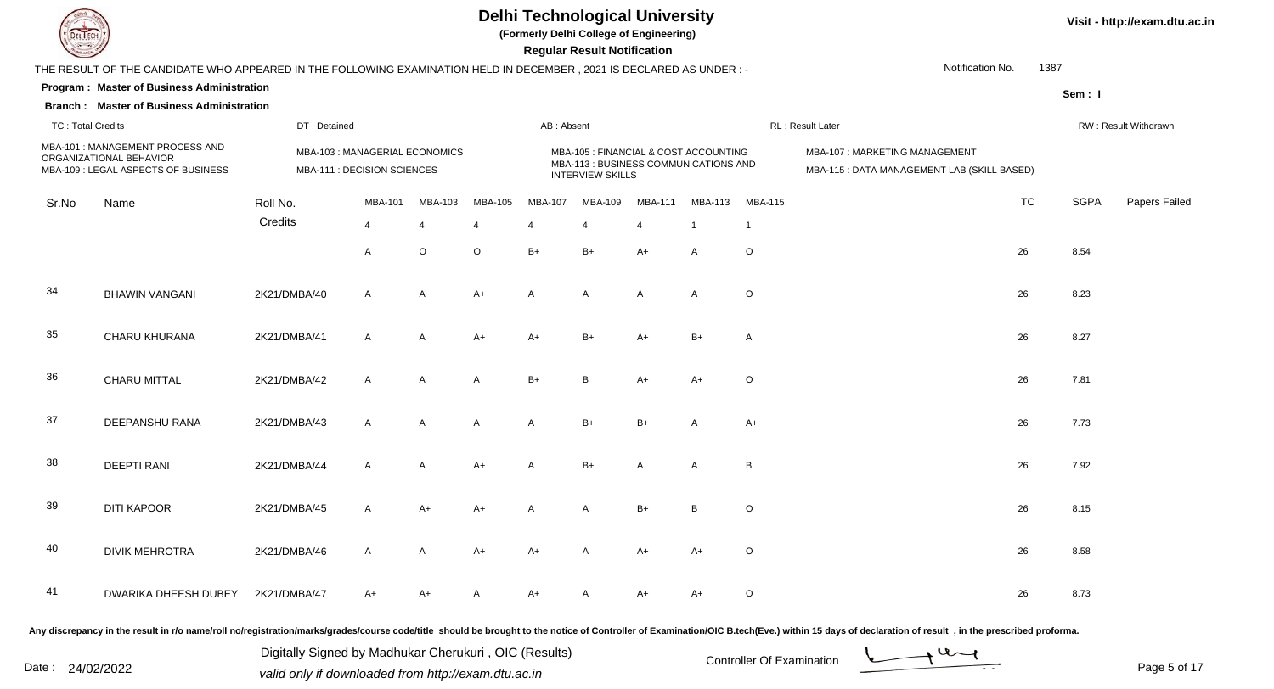

**(Formerly Delhi College of Engineering)**

 **Regular Result Notification**

| $\sim$                   |                                                                                                                      |              |                                                               |                |                |              | n <del>e</del> guiai n <del>e</del> suit notification                                                     |                |                |                |                                                                              |           |             |                      |
|--------------------------|----------------------------------------------------------------------------------------------------------------------|--------------|---------------------------------------------------------------|----------------|----------------|--------------|-----------------------------------------------------------------------------------------------------------|----------------|----------------|----------------|------------------------------------------------------------------------------|-----------|-------------|----------------------|
|                          | THE RESULT OF THE CANDIDATE WHO APPEARED IN THE FOLLOWING EXAMINATION HELD IN DECEMBER, 2021 IS DECLARED AS UNDER :- |              |                                                               |                |                |              |                                                                                                           |                |                |                | Notification No.                                                             | 1387      |             |                      |
|                          | Program: Master of Business Administration                                                                           |              |                                                               |                |                |              |                                                                                                           |                |                |                |                                                                              |           | Sem: I      |                      |
|                          | <b>Branch: Master of Business Administration</b>                                                                     |              |                                                               |                |                |              |                                                                                                           |                |                |                |                                                                              |           |             |                      |
| <b>TC: Total Credits</b> |                                                                                                                      | DT: Detained |                                                               |                |                | AB: Absent   |                                                                                                           |                |                |                | RL : Result Later                                                            |           |             | RW: Result Withdrawn |
|                          | MBA-101 : MANAGEMENT PROCESS AND<br>ORGANIZATIONAL BEHAVIOR<br>MBA-109 : LEGAL ASPECTS OF BUSINESS                   |              | MBA-103 : MANAGERIAL ECONOMICS<br>MBA-111 : DECISION SCIENCES |                |                |              | MBA-105 : FINANCIAL & COST ACCOUNTING<br>MBA-113 : BUSINESS COMMUNICATIONS AND<br><b>INTERVIEW SKILLS</b> |                |                |                | MBA-107: MARKETING MANAGEMENT<br>MBA-115 : DATA MANAGEMENT LAB (SKILL BASED) |           |             |                      |
| Sr.No                    | Name                                                                                                                 | Roll No.     | <b>MBA-101</b>                                                | MBA-103        | MBA-105        | MBA-107      | MBA-109                                                                                                   | <b>MBA-111</b> | <b>MBA-113</b> | <b>MBA-115</b> |                                                                              | <b>TC</b> | <b>SGPA</b> | Papers Failed        |
|                          |                                                                                                                      | Credits      | $\overline{4}$                                                | 4              | $\overline{4}$ | 4            | $\overline{4}$                                                                                            | 4              | $\overline{1}$ | $\mathbf{1}$   |                                                                              |           |             |                      |
|                          |                                                                                                                      |              | A                                                             | $\circ$        | $\circ$        | $B+$         | $B+$                                                                                                      | $A+$           | A              | O              |                                                                              | 26        | 8.54        |                      |
| 34                       | <b>BHAWIN VANGANI</b>                                                                                                | 2K21/DMBA/40 | $\mathsf{A}$                                                  | $\overline{A}$ | $A+$           | $\mathsf{A}$ | $\mathsf{A}$                                                                                              | A              | A              | O              |                                                                              | 26        | 8.23        |                      |
| 35                       | CHARU KHURANA                                                                                                        | 2K21/DMBA/41 | A                                                             | $\mathsf{A}$   | $A+$           | $A+$         | $B+$                                                                                                      | $A+$           | $B+$           | A              |                                                                              | 26        | 8.27        |                      |
| 36                       | <b>CHARU MITTAL</b>                                                                                                  | 2K21/DMBA/42 | $\mathsf{A}$                                                  | $\overline{A}$ | $\mathsf{A}$   | $B+$         | B                                                                                                         | $A+$           | $A+$           | O              |                                                                              | 26        | 7.81        |                      |
| 37                       | DEEPANSHU RANA                                                                                                       | 2K21/DMBA/43 | $\mathsf{A}$                                                  | $\overline{A}$ | $\overline{A}$ | $\mathsf{A}$ | $B+$                                                                                                      | $B+$           | A              | $A+$           |                                                                              | 26        | 7.73        |                      |
| 38                       | <b>DEEPTI RANI</b>                                                                                                   | 2K21/DMBA/44 | $\mathsf{A}$                                                  | A              | A+             | A            | $B+$                                                                                                      | A              | A              | В              |                                                                              | 26        | 7.92        |                      |
| 39                       | <b>DITI KAPOOR</b>                                                                                                   | 2K21/DMBA/45 | $\mathsf{A}$                                                  | A+             | $A+$           | $\mathsf{A}$ | A                                                                                                         | $B+$           | B              | O              |                                                                              | 26        | 8.15        |                      |
| 40                       | <b>DIVIK MEHROTRA</b>                                                                                                | 2K21/DMBA/46 | A                                                             | A              | $A+$           | A+           | A                                                                                                         | $A+$           | $A+$           | O              |                                                                              | 26        | 8.58        |                      |
| 41                       | DWARIKA DHEESH DUBEY                                                                                                 | 2K21/DMBA/47 | $A+$                                                          | A+             | A              | $A+$         | Α                                                                                                         | $A+$           | A+             | O              |                                                                              | 26        | 8.73        |                      |

Any discrepancy in the result in r/o name/roll no/registration/marks/grades/course code/title should be brought to the notice of Controller of Examination/OIC B.tech(Eve.) within 15 days of declaration of result, in the pr

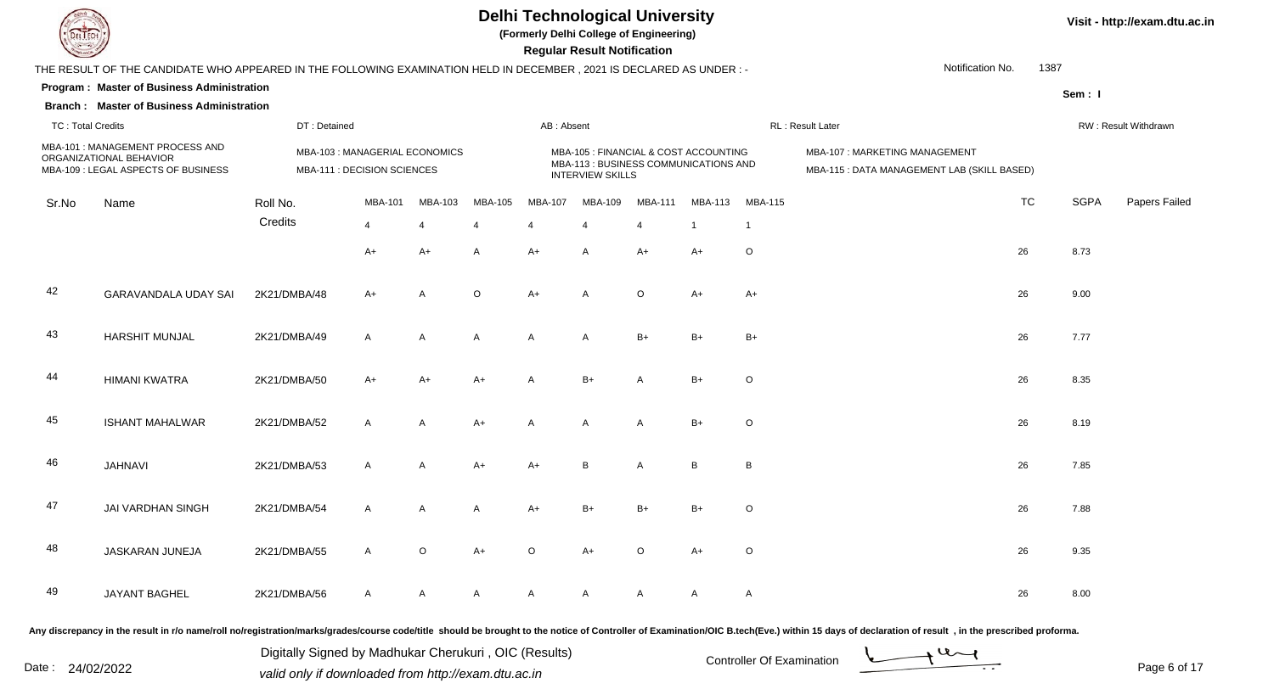

**(Formerly Delhi College of Engineering)**

 **Regular Result Notification**

|                          | THE RESULT OF THE CANDIDATE WHO APPEARED IN THE FOLLOWING EXAMINATION HELD IN DECEMBER, 2021 IS DECLARED AS UNDER :- |              |                                                               |                |                |              |                                                                                                           |         |                 |                | Notification No.                                                             | 1387      |             |                      |
|--------------------------|----------------------------------------------------------------------------------------------------------------------|--------------|---------------------------------------------------------------|----------------|----------------|--------------|-----------------------------------------------------------------------------------------------------------|---------|-----------------|----------------|------------------------------------------------------------------------------|-----------|-------------|----------------------|
|                          | Program: Master of Business Administration                                                                           |              |                                                               |                |                |              |                                                                                                           |         |                 |                |                                                                              |           | Sem: I      |                      |
|                          | <b>Branch: Master of Business Administration</b>                                                                     |              |                                                               |                |                |              |                                                                                                           |         |                 |                |                                                                              |           |             |                      |
| <b>TC: Total Credits</b> |                                                                                                                      | DT: Detained |                                                               |                |                | AB: Absent   |                                                                                                           |         |                 |                | RL: Result Later                                                             |           |             | RW: Result Withdrawn |
|                          | MBA-101 : MANAGEMENT PROCESS AND<br>ORGANIZATIONAL BEHAVIOR<br>MBA-109 : LEGAL ASPECTS OF BUSINESS                   |              | MBA-103 : MANAGERIAL ECONOMICS<br>MBA-111 : DECISION SCIENCES |                |                |              | MBA-105 : FINANCIAL & COST ACCOUNTING<br>MBA-113 : BUSINESS COMMUNICATIONS AND<br><b>INTERVIEW SKILLS</b> |         |                 |                | MBA-107: MARKETING MANAGEMENT<br>MBA-115 : DATA MANAGEMENT LAB (SKILL BASED) |           |             |                      |
| Sr.No                    | Name                                                                                                                 | Roll No.     | MBA-101                                                       | MBA-103        | MBA-105        | MBA-107      | MBA-109                                                                                                   | MBA-111 | MBA-113         | <b>MBA-115</b> |                                                                              | <b>TC</b> | <b>SGPA</b> | Papers Failed        |
|                          |                                                                                                                      | Credits      | $\overline{4}$                                                | $\overline{4}$ | $\overline{4}$ | 4            | $\overline{4}$                                                                                            | 4       | $\overline{1}$  | $\mathbf{1}$   |                                                                              |           |             |                      |
|                          |                                                                                                                      |              | $A+$                                                          | A+             | $\mathsf{A}$   | $A+$         | Α                                                                                                         | $A+$    | $A+$            | $\circ$        |                                                                              | 26        | 8.73        |                      |
| 42                       | GARAVANDALA UDAY SAI                                                                                                 | 2K21/DMBA/48 | $A+$                                                          | $\overline{A}$ | $\circ$        | $A+$         | $\overline{A}$                                                                                            | $\circ$ | $A+$            | $A+$           |                                                                              | 26        | 9.00        |                      |
| 43                       | <b>HARSHIT MUNJAL</b>                                                                                                | 2K21/DMBA/49 | $\mathsf{A}$                                                  | $\overline{A}$ | $\overline{A}$ | $\mathsf{A}$ | $\mathsf{A}$                                                                                              | $B+$    | $B+$            | $B+$           |                                                                              | 26        | 7.77        |                      |
| 44                       | <b>HIMANI KWATRA</b>                                                                                                 | 2K21/DMBA/50 | $A+$                                                          | $A+$           | $A+$           | A            | $B+$                                                                                                      | A       | $B+$            | $\circ$        |                                                                              | 26        | 8.35        |                      |
| 45                       | <b>ISHANT MAHALWAR</b>                                                                                               | 2K21/DMBA/52 | $\mathsf{A}$                                                  | A              | $A+$           | A            | A                                                                                                         | A       | $B+$            | $\circ$        |                                                                              | 26        | 8.19        |                      |
| 46                       | <b>JAHNAVI</b>                                                                                                       | 2K21/DMBA/53 | A                                                             | A              | $A+$           | $A+$         | $\sf B$                                                                                                   | A       | $\, {\bf B} \,$ | B              |                                                                              | 26        | 7.85        |                      |
| 47                       | JAI VARDHAN SINGH                                                                                                    | 2K21/DMBA/54 | A                                                             | $\overline{A}$ | $\overline{A}$ | $A+$         | $B+$                                                                                                      | $B+$    | $B+$            | $\mathsf O$    |                                                                              | 26        | 7.88        |                      |
| 48                       | JASKARAN JUNEJA                                                                                                      | 2K21/DMBA/55 | $\mathsf{A}$                                                  | $\circ$        | $A+$           | $\circ$      | $A+$                                                                                                      | $\circ$ | $A+$            | $\circ$        |                                                                              | 26        | 9.35        |                      |
| 49                       | JAYANT BAGHEL                                                                                                        | 2K21/DMBA/56 | $\mathsf{A}$                                                  | A              | $\mathsf{A}$   | A            | A                                                                                                         | A       | $\mathsf{A}$    | A              |                                                                              | 26        | 8.00        |                      |
|                          |                                                                                                                      |              |                                                               |                |                |              |                                                                                                           |         |                 |                |                                                                              |           |             |                      |

Any discrepancy in the result in r/o name/roll no/registration/marks/grades/course code/title should be brought to the notice of Controller of Examination/OIC B.tech(Eve.) within 15 days of declaration of result, in the pr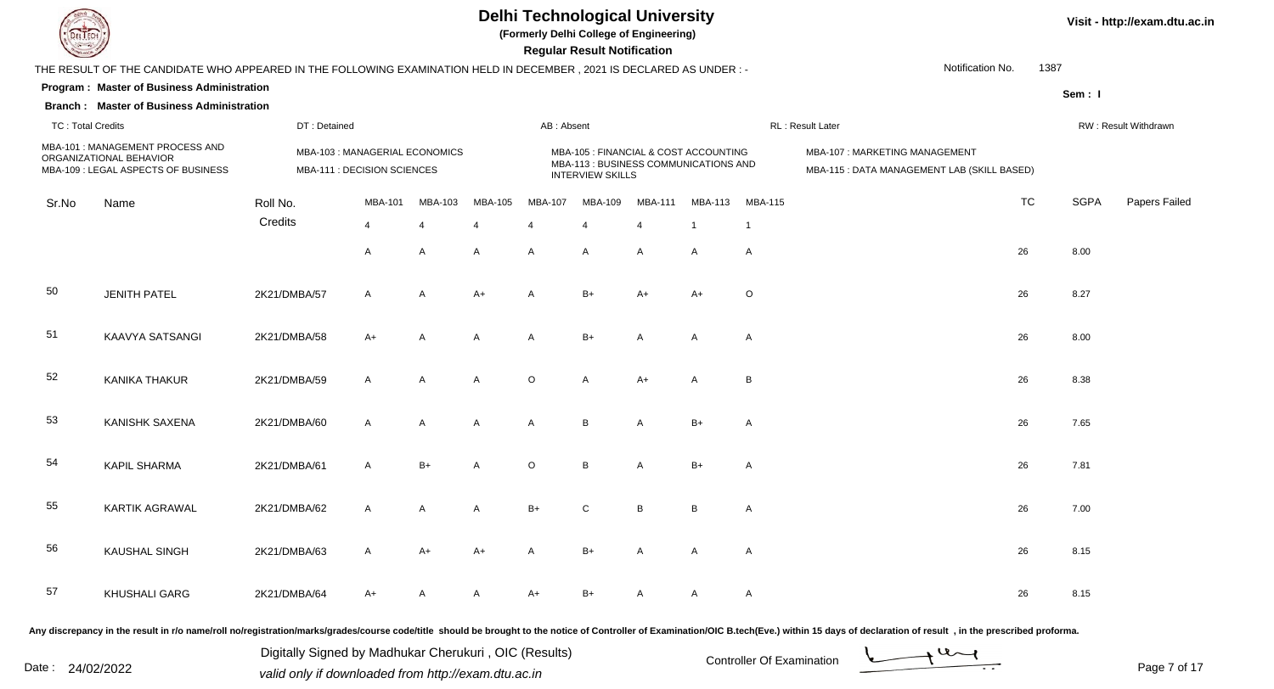

**(Formerly Delhi College of Engineering)**

 **Regular Result Notification**

| $\sim$                   |                                                                                                                      |              |                                                               |                |                |            | n <del>c</del> yular n <del>c</del> sult notification                                                     |         |                |                |                                                                              |           |             |                      |
|--------------------------|----------------------------------------------------------------------------------------------------------------------|--------------|---------------------------------------------------------------|----------------|----------------|------------|-----------------------------------------------------------------------------------------------------------|---------|----------------|----------------|------------------------------------------------------------------------------|-----------|-------------|----------------------|
|                          | THE RESULT OF THE CANDIDATE WHO APPEARED IN THE FOLLOWING EXAMINATION HELD IN DECEMBER, 2021 IS DECLARED AS UNDER :- |              |                                                               |                |                |            |                                                                                                           |         |                |                | Notification No.                                                             | 1387      |             |                      |
|                          | Program: Master of Business Administration                                                                           |              |                                                               |                |                |            |                                                                                                           |         |                |                |                                                                              |           | Sem: I      |                      |
|                          | <b>Branch: Master of Business Administration</b>                                                                     |              |                                                               |                |                |            |                                                                                                           |         |                |                |                                                                              |           |             |                      |
| <b>TC: Total Credits</b> |                                                                                                                      | DT: Detained |                                                               |                |                | AB: Absent |                                                                                                           |         |                |                | RL : Result Later                                                            |           |             | RW: Result Withdrawn |
|                          | MBA-101 : MANAGEMENT PROCESS AND<br>ORGANIZATIONAL BEHAVIOR<br>MBA-109 : LEGAL ASPECTS OF BUSINESS                   |              | MBA-103 : MANAGERIAL ECONOMICS<br>MBA-111 : DECISION SCIENCES |                |                |            | MBA-105 : FINANCIAL & COST ACCOUNTING<br>MBA-113 : BUSINESS COMMUNICATIONS AND<br><b>INTERVIEW SKILLS</b> |         |                |                | MBA-107: MARKETING MANAGEMENT<br>MBA-115 : DATA MANAGEMENT LAB (SKILL BASED) |           |             |                      |
| Sr.No                    | Name                                                                                                                 | Roll No.     | MBA-101                                                       | MBA-103        | MBA-105        | MBA-107    | MBA-109                                                                                                   | MBA-111 | <b>MBA-113</b> | <b>MBA-115</b> |                                                                              | <b>TC</b> | <b>SGPA</b> | Papers Failed        |
|                          |                                                                                                                      | Credits      | $\overline{4}$                                                | $\overline{4}$ | $\overline{4}$ | 4          | 4                                                                                                         | 4       | $\overline{1}$ | $\overline{1}$ |                                                                              |           |             |                      |
|                          |                                                                                                                      |              | A                                                             | $\mathsf{A}$   | $\mathsf{A}$   | A          | A                                                                                                         | A       | A              | A              |                                                                              | 26        | 8.00        |                      |
| 50                       | <b>JENITH PATEL</b>                                                                                                  | 2K21/DMBA/57 | $\mathsf{A}$                                                  | Α              | $A+$           | A          | $B+$                                                                                                      | $A+$    | $A+$           | O              |                                                                              | 26        | 8.27        |                      |
| 51                       | <b>KAAVYA SATSANGI</b>                                                                                               | 2K21/DMBA/58 | $A+$                                                          | $\mathsf{A}$   | $\overline{A}$ | A          | $B+$                                                                                                      | A       | A              | A              |                                                                              | 26        | 8.00        |                      |
| 52                       | <b>KANIKA THAKUR</b>                                                                                                 | 2K21/DMBA/59 | $\mathsf{A}$                                                  | $\mathsf{A}$   | $\overline{A}$ | $\circ$    | A                                                                                                         | $A+$    | A              | B              |                                                                              | 26        | 8.38        |                      |
| 53                       | KANISHK SAXENA                                                                                                       | 2K21/DMBA/60 | A                                                             | A              | $\overline{A}$ | A          | B                                                                                                         | A       | $B+$           | A              |                                                                              | 26        | 7.65        |                      |
| 54                       | <b>KAPIL SHARMA</b>                                                                                                  | 2K21/DMBA/61 | A                                                             | $B+$           | $\overline{A}$ | $\circ$    | B                                                                                                         | Α       | $B+$           | A              |                                                                              | 26        | 7.81        |                      |
| 55                       | KARTIK AGRAWAL                                                                                                       | 2K21/DMBA/62 | $\mathsf{A}$                                                  | $\overline{A}$ | $\overline{A}$ | $B+$       | $\mathsf{C}$                                                                                              | B       | В              | A              |                                                                              | 26        | 7.00        |                      |
| 56                       | <b>KAUSHAL SINGH</b>                                                                                                 | 2K21/DMBA/63 | $\mathsf{A}$                                                  | $A+$           | $A+$           | A          | $B+$                                                                                                      | A       | A              | A              |                                                                              | 26        | 8.15        |                      |
| 57                       | <b>KHUSHALI GARG</b>                                                                                                 | 2K21/DMBA/64 | A+                                                            | A              | A              | A+         | $B+$                                                                                                      | A       | A              | A              |                                                                              | 26        | 8.15        |                      |
|                          |                                                                                                                      |              |                                                               |                |                |            |                                                                                                           |         |                |                |                                                                              |           |             |                      |

Any discrepancy in the result in r/o name/roll no/registration/marks/grades/course code/title should be brought to the notice of Controller of Examination/OIC B.tech(Eve.) within 15 days of declaration of result, in the pr

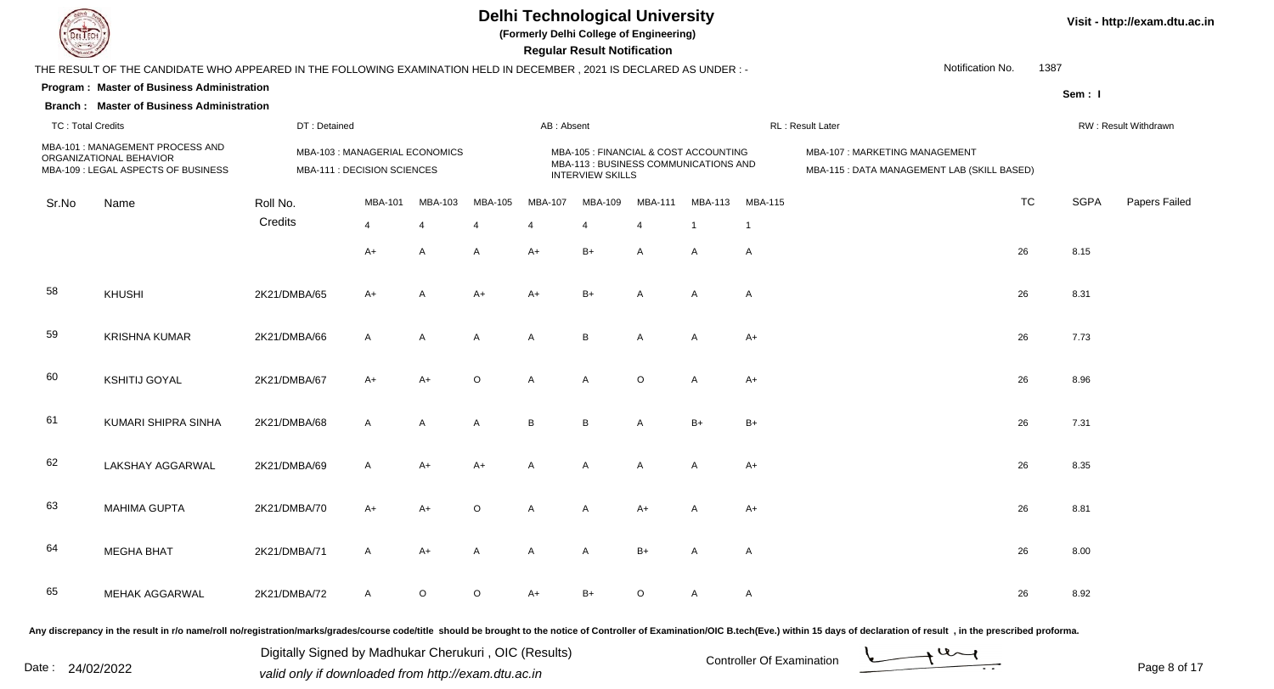

**(Formerly Delhi College of Engineering)**

 **Regular Result Notification**

| $\sim$                   |                                                                                                                      |                                                               |                |                |                |              | 110galar 1100an 110mloduvir                                                                               |                |                |                |                                                                              |           |             |                      |
|--------------------------|----------------------------------------------------------------------------------------------------------------------|---------------------------------------------------------------|----------------|----------------|----------------|--------------|-----------------------------------------------------------------------------------------------------------|----------------|----------------|----------------|------------------------------------------------------------------------------|-----------|-------------|----------------------|
|                          | THE RESULT OF THE CANDIDATE WHO APPEARED IN THE FOLLOWING EXAMINATION HELD IN DECEMBER, 2021 IS DECLARED AS UNDER :- |                                                               |                |                |                |              |                                                                                                           |                |                |                | Notification No.                                                             | 1387      |             |                      |
|                          | Program: Master of Business Administration                                                                           |                                                               |                |                |                |              |                                                                                                           |                |                |                |                                                                              |           | Sem: I      |                      |
|                          | <b>Branch: Master of Business Administration</b>                                                                     |                                                               |                |                |                |              |                                                                                                           |                |                |                |                                                                              |           |             |                      |
| <b>TC: Total Credits</b> |                                                                                                                      | DT: Detained                                                  |                |                |                | AB: Absent   |                                                                                                           |                |                |                | RL: Result Later                                                             |           |             | RW: Result Withdrawn |
|                          | MBA-101 : MANAGEMENT PROCESS AND<br>ORGANIZATIONAL BEHAVIOR<br>MBA-109 : LEGAL ASPECTS OF BUSINESS                   | MBA-103 : MANAGERIAL ECONOMICS<br>MBA-111 : DECISION SCIENCES |                |                |                |              | MBA-105 : FINANCIAL & COST ACCOUNTING<br>MBA-113 : BUSINESS COMMUNICATIONS AND<br><b>INTERVIEW SKILLS</b> |                |                |                | MBA-107: MARKETING MANAGEMENT<br>MBA-115 : DATA MANAGEMENT LAB (SKILL BASED) |           |             |                      |
| Sr.No                    | Name                                                                                                                 | Roll No.                                                      | MBA-101        | MBA-103        | MBA-105        | MBA-107      | MBA-109                                                                                                   | <b>MBA-111</b> | <b>MBA-113</b> | <b>MBA-115</b> |                                                                              | <b>TC</b> | <b>SGPA</b> | Papers Failed        |
|                          |                                                                                                                      | Credits                                                       | $\overline{4}$ | $\overline{4}$ | $\overline{4}$ |              | 4                                                                                                         | $\overline{4}$ | $\overline{1}$ | $\mathbf 1$    |                                                                              |           |             |                      |
|                          |                                                                                                                      |                                                               | $A+$           | A              | A              | $A+$         | $B+$                                                                                                      | A              | A              | A              |                                                                              | 26        | 8.15        |                      |
| 58                       | KHUSHI                                                                                                               | 2K21/DMBA/65                                                  | $A+$           | A              | $A+$           | $A+$         | $B+$                                                                                                      | A              | A              | A              |                                                                              | 26        | 8.31        |                      |
| 59                       | <b>KRISHNA KUMAR</b>                                                                                                 | 2K21/DMBA/66                                                  | $\mathsf{A}$   | $\overline{A}$ | A              | $\mathsf{A}$ | B                                                                                                         | $\mathsf{A}$   | A              | $A+$           |                                                                              | 26        | 7.73        |                      |
| 60                       | <b>KSHITIJ GOYAL</b>                                                                                                 | 2K21/DMBA/67                                                  | $A+$           | $A+$           | $\circ$        | $\mathsf{A}$ | $\mathsf{A}$                                                                                              | $\circ$        | A              | $A+$           |                                                                              | 26        | 8.96        |                      |
| 61                       | KUMARI SHIPRA SINHA                                                                                                  | 2K21/DMBA/68                                                  | $\mathsf{A}$   | A              | A              | B            | B                                                                                                         | A              | $B+$           | $B+$           |                                                                              | 26        | 7.31        |                      |
| 62                       | LAKSHAY AGGARWAL                                                                                                     | 2K21/DMBA/69                                                  | $\mathsf{A}$   | $A+$           | $A+$           | $\mathsf{A}$ | A                                                                                                         | A              | A              | $A+$           |                                                                              | 26        | 8.35        |                      |
| 63                       | <b>MAHIMA GUPTA</b>                                                                                                  | 2K21/DMBA/70                                                  | $A+$           | $A+$           | $\circ$        | $\mathsf{A}$ | A                                                                                                         | $A+$           | A              | $A+$           |                                                                              | 26        | 8.81        |                      |
| 64                       | <b>MEGHA BHAT</b>                                                                                                    | 2K21/DMBA/71                                                  | $\mathsf{A}$   | $A+$           | A              | A            | A                                                                                                         | $B+$           | A              | A              |                                                                              | 26        | 8.00        |                      |
| 65                       | <b>MEHAK AGGARWAL</b>                                                                                                | 2K21/DMBA/72                                                  | $\mathsf{A}$   | $\circ$        | $\circ$        | A+           | B+                                                                                                        | O              | A              | A              |                                                                              | 26        | 8.92        |                      |

Any discrepancy in the result in r/o name/roll no/registration/marks/grades/course code/title should be brought to the notice of Controller of Examination/OIC B.tech(Eve.) within 15 days of declaration of result, in the pr

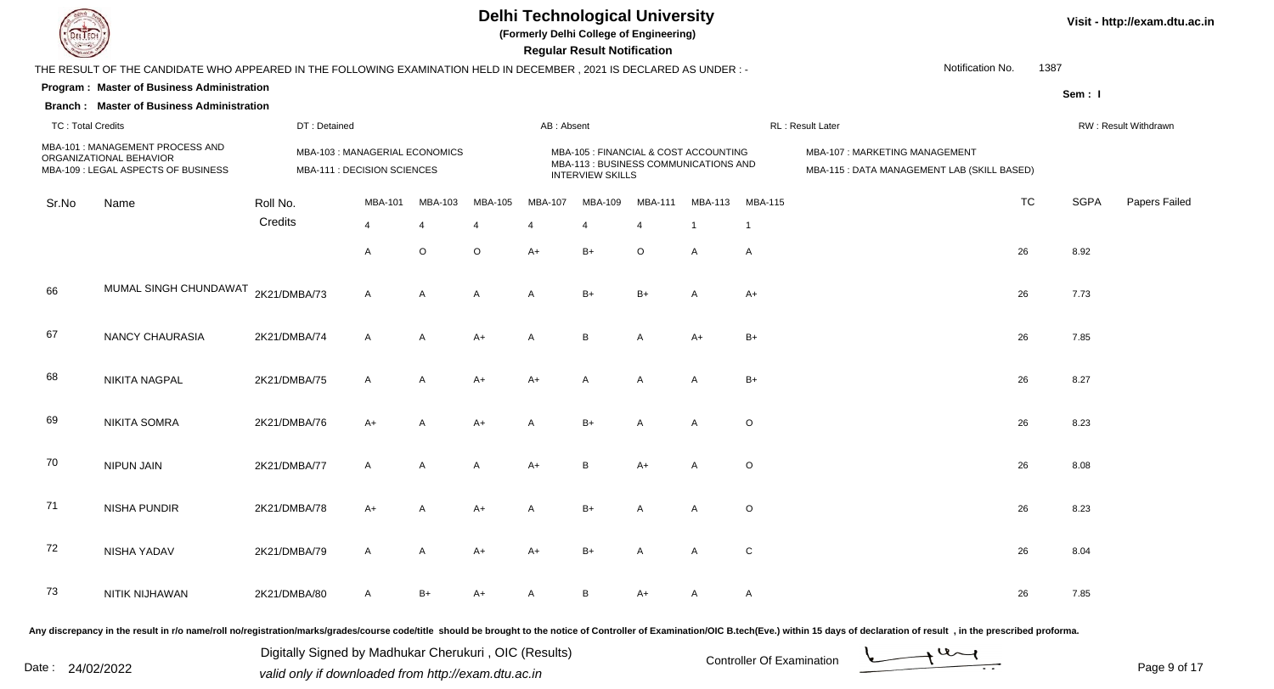

**(Formerly Delhi College of Engineering)**

 **Regular Result Notification**

| $\sim$                   |                                                                                                                      |                                                               |                |                |                |              | 110gaid: 1100ail 110lii10dii011                                                                           |                |                |                |                                                                              |           |                      |               |
|--------------------------|----------------------------------------------------------------------------------------------------------------------|---------------------------------------------------------------|----------------|----------------|----------------|--------------|-----------------------------------------------------------------------------------------------------------|----------------|----------------|----------------|------------------------------------------------------------------------------|-----------|----------------------|---------------|
|                          | THE RESULT OF THE CANDIDATE WHO APPEARED IN THE FOLLOWING EXAMINATION HELD IN DECEMBER, 2021 IS DECLARED AS UNDER :- |                                                               |                |                |                |              |                                                                                                           |                |                |                | Notification No.                                                             | 1387      |                      |               |
|                          | Program: Master of Business Administration                                                                           |                                                               |                |                |                |              |                                                                                                           |                |                |                |                                                                              |           | Sem: I               |               |
|                          | <b>Branch: Master of Business Administration</b>                                                                     |                                                               |                |                |                |              |                                                                                                           |                |                |                |                                                                              |           |                      |               |
| <b>TC: Total Credits</b> |                                                                                                                      | DT: Detained                                                  |                |                |                | AB: Absent   |                                                                                                           |                |                |                | RL: Result Later                                                             |           | RW: Result Withdrawn |               |
|                          | MBA-101 : MANAGEMENT PROCESS AND<br>ORGANIZATIONAL BEHAVIOR<br>MBA-109 : LEGAL ASPECTS OF BUSINESS                   | MBA-103 : MANAGERIAL ECONOMICS<br>MBA-111 : DECISION SCIENCES |                |                |                |              | MBA-105 : FINANCIAL & COST ACCOUNTING<br>MBA-113 : BUSINESS COMMUNICATIONS AND<br><b>INTERVIEW SKILLS</b> |                |                |                | MBA-107: MARKETING MANAGEMENT<br>MBA-115 : DATA MANAGEMENT LAB (SKILL BASED) |           |                      |               |
| Sr.No                    | Name                                                                                                                 | Roll No.                                                      | <b>MBA-101</b> | MBA-103        | MBA-105        | MBA-107      | <b>MBA-109</b>                                                                                            | <b>MBA-111</b> | <b>MBA-113</b> | <b>MBA-115</b> |                                                                              | <b>TC</b> | <b>SGPA</b>          | Papers Failed |
|                          |                                                                                                                      | Credits                                                       | $\overline{4}$ | $\overline{4}$ | 4              | 4            | $\overline{4}$                                                                                            | $\overline{4}$ | $\overline{1}$ | $\overline{1}$ |                                                                              |           |                      |               |
|                          |                                                                                                                      |                                                               | A              | O              | $\mathsf O$    | $A+$         | $B+$                                                                                                      | $\circ$        | A              | A              |                                                                              | 26        | 8.92                 |               |
| 66                       | MUMAL SINGH CHUNDAWAT                                                                                                | 2K21/DMBA/73                                                  | $\mathsf{A}$   | $\overline{A}$ | $\overline{A}$ | $\mathsf{A}$ | $B+$                                                                                                      | $B+$           | $\mathsf{A}$   | $A+$           |                                                                              | 26        | 7.73                 |               |
| 67                       | <b>NANCY CHAURASIA</b>                                                                                               | 2K21/DMBA/74                                                  | $\mathsf{A}$   | A              | $A+$           | A            | $\sf B$                                                                                                   | A              | $A+$           | $B+$           |                                                                              | 26        | 7.85                 |               |
| 68                       | <b>NIKITA NAGPAL</b>                                                                                                 | 2K21/DMBA/75                                                  | $\mathsf{A}$   | $\overline{A}$ | $A+$           | $A+$         | $\mathsf{A}$                                                                                              | $\mathsf{A}$   | $\mathsf{A}$   | $B+$           |                                                                              | 26        | 8.27                 |               |
| 69                       | <b>NIKITA SOMRA</b>                                                                                                  | 2K21/DMBA/76                                                  | $A+$           | A              | $A+$           | Α            | $B+$                                                                                                      | A              | $\mathsf{A}$   | $\circ$        |                                                                              | 26        | 8.23                 |               |
| 70                       | <b>NIPUN JAIN</b>                                                                                                    | 2K21/DMBA/77                                                  | $\mathsf{A}$   | A              | A              | $A+$         | B                                                                                                         | $A+$           | A              | O              |                                                                              | 26        | 8.08                 |               |
| 71                       | NISHA PUNDIR                                                                                                         | 2K21/DMBA/78                                                  | $A+$           | A              | $A+$           | A            | $B+$                                                                                                      | A              | $\mathsf{A}$   | $\circ$        |                                                                              | 26        | 8.23                 |               |
| 72                       | NISHA YADAV                                                                                                          | 2K21/DMBA/79                                                  | A              | $\mathsf{A}$   | $A+$           | $A+$         | $B+$                                                                                                      | A              | $\mathsf{A}$   | ${\bf C}$      |                                                                              | 26        | 8.04                 |               |
| 73                       | NITIK NIJHAWAN                                                                                                       | 2K21/DMBA/80                                                  | $\mathsf{A}$   | $B+$           | $A+$           | A            | $\, {\bf B}$                                                                                              | $A+$           | $\mathsf{A}$   | A              |                                                                              | 26        | 7.85                 |               |

Any discrepancy in the result in r/o name/roll no/registration/marks/grades/course code/title should be brought to the notice of Controller of Examination/OIC B.tech(Eve.) within 15 days of declaration of result, in the pr

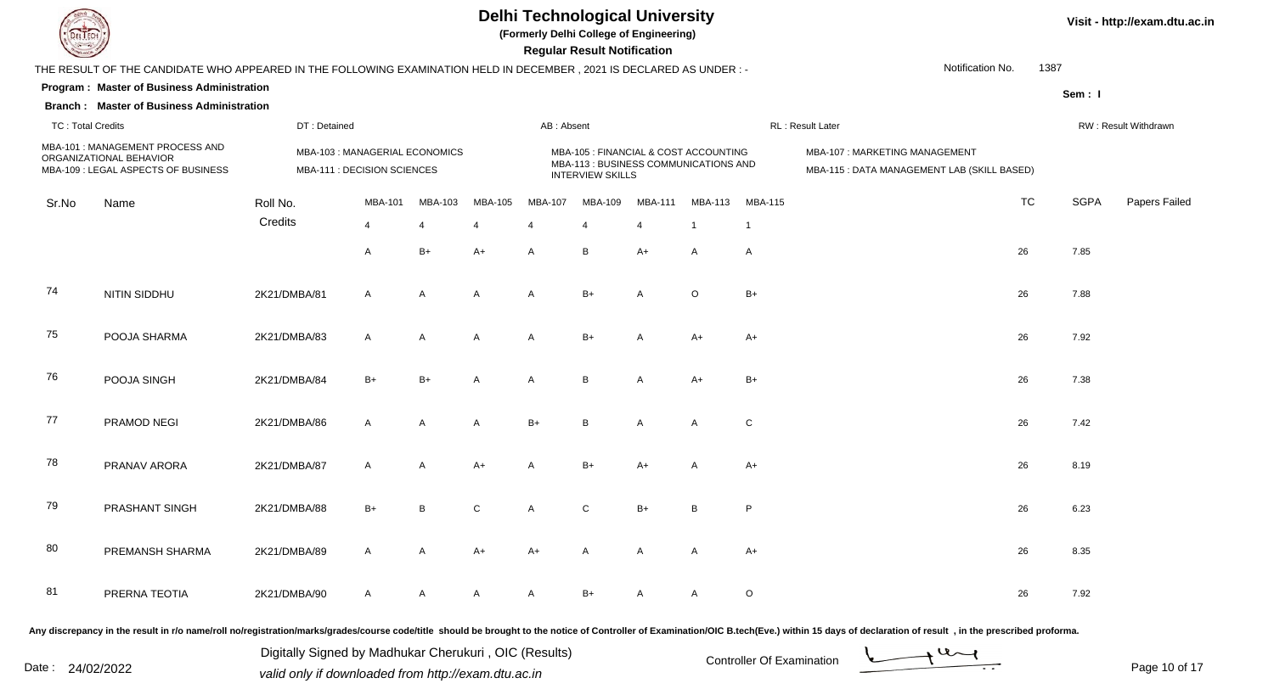

**(Formerly Delhi College of Engineering)**

 **Regular Result Notification**

| $\sim$                   |                                                                                                                      |              |                                                               |                |                |              | <b>Example 1100 and 110 controllering</b>                                                                 |                |                |                |                                                                              |           |             |                      |
|--------------------------|----------------------------------------------------------------------------------------------------------------------|--------------|---------------------------------------------------------------|----------------|----------------|--------------|-----------------------------------------------------------------------------------------------------------|----------------|----------------|----------------|------------------------------------------------------------------------------|-----------|-------------|----------------------|
|                          | THE RESULT OF THE CANDIDATE WHO APPEARED IN THE FOLLOWING EXAMINATION HELD IN DECEMBER, 2021 IS DECLARED AS UNDER :- |              |                                                               |                |                |              |                                                                                                           |                |                |                | Notification No.                                                             | 1387      |             |                      |
|                          | <b>Program: Master of Business Administration</b>                                                                    |              |                                                               |                |                |              |                                                                                                           |                |                |                |                                                                              |           | Sem: I      |                      |
|                          | <b>Branch: Master of Business Administration</b>                                                                     |              |                                                               |                |                |              |                                                                                                           |                |                |                |                                                                              |           |             |                      |
| <b>TC: Total Credits</b> |                                                                                                                      | DT: Detained |                                                               |                |                | AB: Absent   |                                                                                                           |                |                |                | RL: Result Later                                                             |           |             | RW: Result Withdrawn |
|                          | MBA-101 : MANAGEMENT PROCESS AND<br>ORGANIZATIONAL BEHAVIOR<br>MBA-109 : LEGAL ASPECTS OF BUSINESS                   |              | MBA-103 : MANAGERIAL ECONOMICS<br>MBA-111 : DECISION SCIENCES |                |                |              | MBA-105 : FINANCIAL & COST ACCOUNTING<br>MBA-113 : BUSINESS COMMUNICATIONS AND<br><b>INTERVIEW SKILLS</b> |                |                |                | MBA-107: MARKETING MANAGEMENT<br>MBA-115 : DATA MANAGEMENT LAB (SKILL BASED) |           |             |                      |
| Sr.No                    | Name                                                                                                                 | Roll No.     | <b>MBA-101</b>                                                | MBA-103        | MBA-105        | MBA-107      | MBA-109                                                                                                   | <b>MBA-111</b> | MBA-113        | <b>MBA-115</b> |                                                                              | <b>TC</b> | <b>SGPA</b> | Papers Failed        |
|                          |                                                                                                                      | Credits      | $\overline{4}$                                                | $\overline{4}$ | $\overline{4}$ | 4            | $\overline{4}$                                                                                            | 4              | $\overline{1}$ | $\overline{1}$ |                                                                              |           |             |                      |
|                          |                                                                                                                      |              | A                                                             | $B+$           | $A+$           | A            | B                                                                                                         | $A+$           | $\mathsf{A}$   | A              |                                                                              | 26        | 7.85        |                      |
| 74                       | NITIN SIDDHU                                                                                                         | 2K21/DMBA/81 | A                                                             | $\overline{A}$ | $\mathsf{A}$   | $\mathsf{A}$ | $B+$                                                                                                      | $\mathsf{A}$   | $\mathsf O$    | B+             |                                                                              | 26        | 7.88        |                      |
| 75                       | POOJA SHARMA                                                                                                         | 2K21/DMBA/83 | $\mathsf{A}$                                                  | $\overline{A}$ | $\overline{A}$ | $\mathsf{A}$ | $B+$                                                                                                      | A              | $A+$           | A+             |                                                                              | 26        | 7.92        |                      |
| 76                       | POOJA SINGH                                                                                                          | 2K21/DMBA/84 | $B+$                                                          | $B+$           | $\mathsf{A}$   | A            | $\mathsf B$                                                                                               | A              | $A+$           | B+             |                                                                              | 26        | 7.38        |                      |
| 77                       | PRAMOD NEGI                                                                                                          | 2K21/DMBA/86 | $\mathsf{A}$                                                  | $\mathsf{A}$   | $\mathsf{A}$   | $B+$         | B                                                                                                         | A              | $\mathsf{A}$   | $\mathsf{C}$   |                                                                              | 26        | 7.42        |                      |
| 78                       | PRANAV ARORA                                                                                                         | 2K21/DMBA/87 | $\mathsf{A}$                                                  | $\mathsf{A}$   | $A+$           | A            | $B+$                                                                                                      | $A+$           | $\mathsf{A}$   | $A+$           |                                                                              | 26        | 8.19        |                      |
| 79                       | PRASHANT SINGH                                                                                                       | 2K21/DMBA/88 | $B+$                                                          | B              | $\mathsf{C}$   | A            | $\mathsf C$                                                                                               | $B+$           | B              | P.             |                                                                              | 26        | 6.23        |                      |
| 80                       | PREMANSH SHARMA                                                                                                      | 2K21/DMBA/89 | A                                                             | $\mathsf{A}$   | $A+$           | $A+$         | A                                                                                                         | $\mathsf{A}$   | A              | $A+$           |                                                                              | 26        | 8.35        |                      |
| 81                       | PRERNA TEOTIA                                                                                                        | 2K21/DMBA/90 | $\mathsf{A}$                                                  | $\overline{A}$ | A              | A            | $B+$                                                                                                      | А              | A              | $\circ$        |                                                                              | 26        | 7.92        |                      |
|                          |                                                                                                                      |              |                                                               |                |                |              |                                                                                                           |                |                |                |                                                                              |           |             |                      |

Any discrepancy in the result in r/o name/roll no/registration/marks/grades/course code/title should be brought to the notice of Controller of Examination/OIC B.tech(Eve.) within 15 days of declaration of result, in the pr

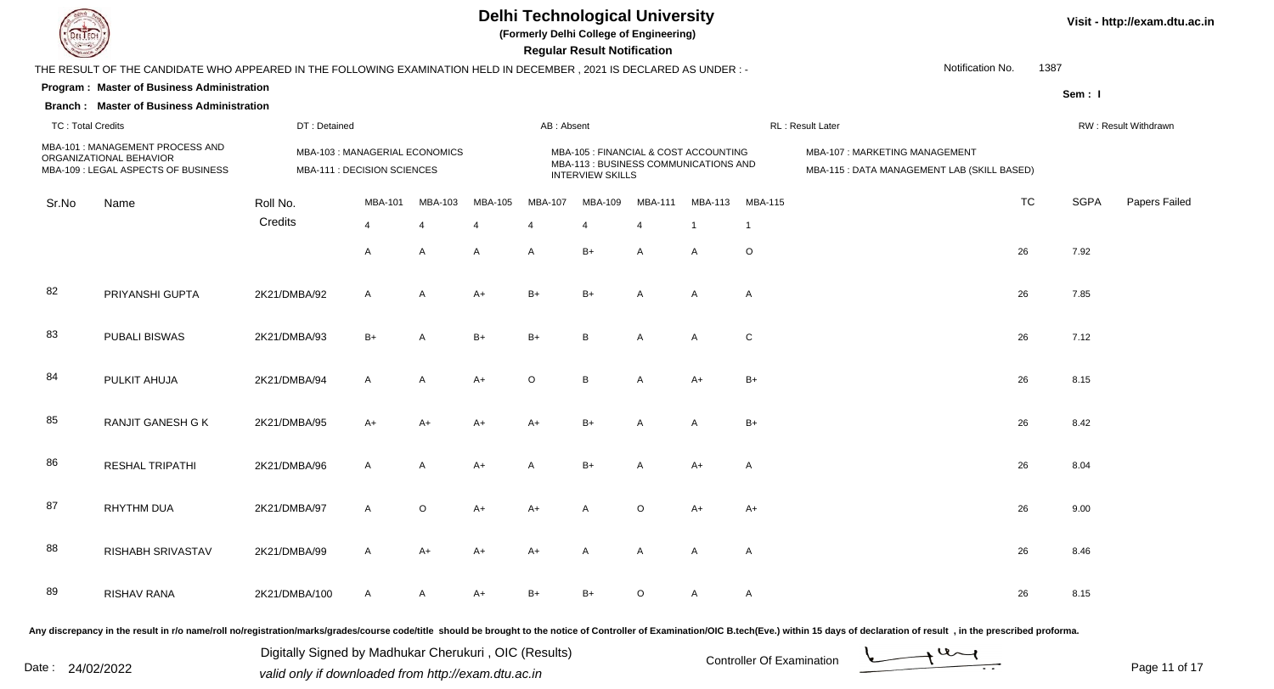

**(Formerly Delhi College of Engineering)**

 **Regular Result Notification**

| $\overline{\phantom{0}}$ |                                                                                                                      |                                                               |                |                         |                |            | <b>Regular Result Rothloution</b>                                                                         |                         |                |                |                                                                              |           |             |                      |
|--------------------------|----------------------------------------------------------------------------------------------------------------------|---------------------------------------------------------------|----------------|-------------------------|----------------|------------|-----------------------------------------------------------------------------------------------------------|-------------------------|----------------|----------------|------------------------------------------------------------------------------|-----------|-------------|----------------------|
|                          | THE RESULT OF THE CANDIDATE WHO APPEARED IN THE FOLLOWING EXAMINATION HELD IN DECEMBER, 2021 IS DECLARED AS UNDER :- |                                                               |                |                         |                |            |                                                                                                           |                         |                |                | Notification No.                                                             | 1387      |             |                      |
|                          | Program: Master of Business Administration                                                                           |                                                               |                |                         |                |            |                                                                                                           |                         |                |                |                                                                              |           | Sem: I      |                      |
|                          | <b>Branch: Master of Business Administration</b>                                                                     |                                                               |                |                         |                |            |                                                                                                           |                         |                |                |                                                                              |           |             |                      |
| <b>TC: Total Credits</b> |                                                                                                                      | DT: Detained                                                  |                |                         |                | AB: Absent |                                                                                                           |                         |                |                | RL: Result Later                                                             |           |             | RW: Result Withdrawn |
|                          | MBA-101 : MANAGEMENT PROCESS AND<br>ORGANIZATIONAL BEHAVIOR<br>MBA-109 : LEGAL ASPECTS OF BUSINESS                   | MBA-103 : MANAGERIAL ECONOMICS<br>MBA-111 : DECISION SCIENCES |                |                         |                |            | MBA-105 : FINANCIAL & COST ACCOUNTING<br>MBA-113 : BUSINESS COMMUNICATIONS AND<br><b>INTERVIEW SKILLS</b> |                         |                |                | MBA-107: MARKETING MANAGEMENT<br>MBA-115 : DATA MANAGEMENT LAB (SKILL BASED) |           |             |                      |
| Sr.No                    | Name                                                                                                                 | Roll No.                                                      | MBA-101        | MBA-103                 | MBA-105        | MBA-107    | MBA-109                                                                                                   | MBA-111                 | MBA-113        | <b>MBA-115</b> |                                                                              | <b>TC</b> | <b>SGPA</b> | Papers Failed        |
|                          |                                                                                                                      | Credits                                                       | $\overline{4}$ | $\overline{\mathbf{4}}$ | $\overline{4}$ | 4          | 4                                                                                                         | $\overline{\mathbf{A}}$ | $\overline{1}$ | $\mathbf 1$    |                                                                              |           |             |                      |
|                          |                                                                                                                      |                                                               | $\mathsf{A}$   | A                       | $\mathsf{A}$   | A          | $B+$                                                                                                      | $\mathsf{A}$            | A              | $\circ$        |                                                                              | 26        | 7.92        |                      |
| 82                       | PRIYANSHI GUPTA                                                                                                      | 2K21/DMBA/92                                                  | $\mathsf{A}$   | $\mathsf{A}$            | $A+$           | $B+$       | $B+$                                                                                                      | $\mathsf{A}$            | A              | A              |                                                                              | 26        | 7.85        |                      |
| 83                       | <b>PUBALI BISWAS</b>                                                                                                 | 2K21/DMBA/93                                                  | $B+$           | $\mathsf{A}$            | $B+$           | $B+$       | B                                                                                                         | A                       | A              | $\mathbf C$    |                                                                              | 26        | 7.12        |                      |
| 84                       | PULKIT AHUJA                                                                                                         | 2K21/DMBA/94                                                  | $\mathsf{A}$   | Α                       | $A+$           | $\circ$    | B                                                                                                         | A                       | $A+$           | B+             |                                                                              | 26        | 8.15        |                      |
| 85                       | <b>RANJIT GANESH G K</b>                                                                                             | 2K21/DMBA/95                                                  | $A+$           | $A+$                    | $A+$           | $A+$       | $B+$                                                                                                      | A                       | A              | $B+$           |                                                                              | 26        | 8.42        |                      |
| 86                       | RESHAL TRIPATHI                                                                                                      | 2K21/DMBA/96                                                  | $\mathsf{A}$   | A                       | $A+$           | A          | $B+$                                                                                                      | A                       | $A+$           | A              |                                                                              | 26        | 8.04        |                      |
| 87                       | <b>RHYTHM DUA</b>                                                                                                    | 2K21/DMBA/97                                                  | $\mathsf{A}$   | $\circ$                 | $A+$           | $A+$       | A                                                                                                         | $\circ$                 | $A+$           | A+             |                                                                              | 26        | 9.00        |                      |
| 88                       | RISHABH SRIVASTAV                                                                                                    | 2K21/DMBA/99                                                  | $\mathsf{A}$   | $A+$                    | $A+$           | $A+$       | $\mathsf{A}$                                                                                              | A                       | A              | A              |                                                                              | 26        | 8.46        |                      |
| 89                       | RISHAV RANA                                                                                                          | 2K21/DMBA/100                                                 | $\overline{A}$ | A                       | $A+$           | B+         |                                                                                                           | $\Omega$                | A              | A              |                                                                              | 26        | 8.15        |                      |
|                          |                                                                                                                      |                                                               |                |                         |                |            |                                                                                                           |                         |                |                |                                                                              |           |             |                      |

Any discrepancy in the result in r/o name/roll no/registration/marks/grades/course code/title should be brought to the notice of Controller of Examination/OIC B.tech(Eve.) within 15 days of declaration of result, in the pr

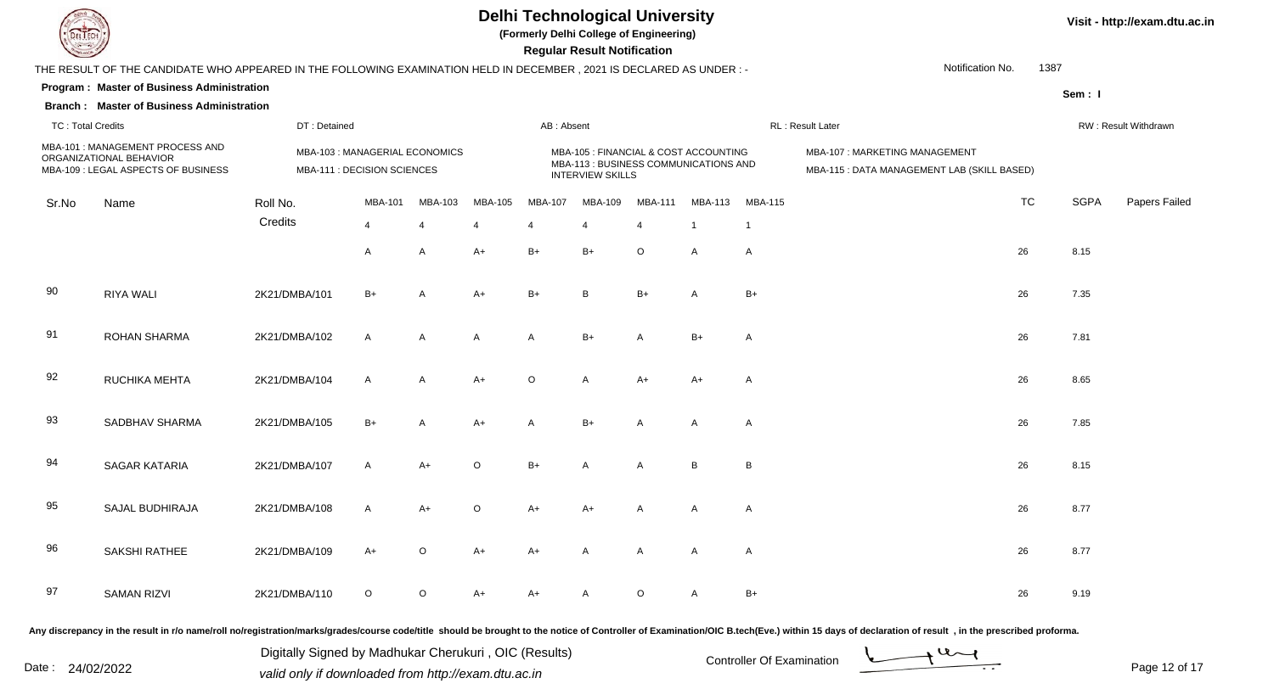

**(Formerly Delhi College of Engineering)**

 **Regular Result Notification**

| $\overline{\phantom{0}}$ |                                                                                                                     |               |                                                               |                |                |              | <b>Regular Result Rothrodtron</b>                                                                         |                |                |                |                                                                              |           |             |                      |
|--------------------------|---------------------------------------------------------------------------------------------------------------------|---------------|---------------------------------------------------------------|----------------|----------------|--------------|-----------------------------------------------------------------------------------------------------------|----------------|----------------|----------------|------------------------------------------------------------------------------|-----------|-------------|----------------------|
|                          | THE RESULT OF THE CANDIDATE WHO APPEARED IN THE FOLLOWING EXAMINATION HELD IN DECEMBER, 2021 IS DECLARED AS UNDER:- |               |                                                               |                |                |              |                                                                                                           |                |                |                | Notification No.                                                             | 1387      |             |                      |
|                          | Program: Master of Business Administration                                                                          |               |                                                               |                |                |              |                                                                                                           |                |                |                |                                                                              |           | Sem: I      |                      |
|                          | <b>Branch: Master of Business Administration</b>                                                                    |               |                                                               |                |                |              |                                                                                                           |                |                |                |                                                                              |           |             |                      |
| <b>TC: Total Credits</b> |                                                                                                                     | DT: Detained  |                                                               |                |                | AB: Absent   |                                                                                                           |                |                |                | RL: Result Later                                                             |           |             | RW: Result Withdrawn |
|                          | MBA-101 : MANAGEMENT PROCESS AND<br>ORGANIZATIONAL BEHAVIOR<br>MBA-109 : LEGAL ASPECTS OF BUSINESS                  |               | MBA-103 : MANAGERIAL ECONOMICS<br>MBA-111 : DECISION SCIENCES |                |                |              | MBA-105 : FINANCIAL & COST ACCOUNTING<br>MBA-113 : BUSINESS COMMUNICATIONS AND<br><b>INTERVIEW SKILLS</b> |                |                |                | MBA-107: MARKETING MANAGEMENT<br>MBA-115 : DATA MANAGEMENT LAB (SKILL BASED) |           |             |                      |
| Sr.No                    | Name                                                                                                                | Roll No.      | MBA-101                                                       | MBA-103        | MBA-105        | MBA-107      | MBA-109                                                                                                   | MBA-111        | <b>MBA-113</b> | MBA-115        |                                                                              | <b>TC</b> | <b>SGPA</b> | Papers Failed        |
|                          |                                                                                                                     | Credits       | $\overline{4}$                                                | $\overline{4}$ | $\overline{4}$ | 4            | $\overline{4}$                                                                                            | $\overline{4}$ | $\overline{1}$ | $\overline{1}$ |                                                                              |           |             |                      |
|                          |                                                                                                                     |               | A                                                             | $\overline{A}$ | $A+$           | $B+$         | $B+$                                                                                                      | O              | $\mathsf{A}$   | A              |                                                                              | 26        | 8.15        |                      |
| 90                       | RIYA WALI                                                                                                           | 2K21/DMBA/101 | $B+$                                                          | $\mathsf{A}$   | $A+$           | $B+$         | B                                                                                                         | $B+$           | $\mathsf{A}$   | $B+$           |                                                                              | 26        | 7.35        |                      |
| 91                       | <b>ROHAN SHARMA</b>                                                                                                 | 2K21/DMBA/102 | $\mathsf{A}$                                                  | A              | $\mathsf{A}$   | $\mathsf{A}$ | $B+$                                                                                                      | A              | $B+$           | A              |                                                                              | 26        | 7.81        |                      |
| 92                       | RUCHIKA MEHTA                                                                                                       | 2K21/DMBA/104 | A                                                             | $\overline{A}$ | $A+$           | $\circ$      | $\mathsf{A}$                                                                                              | A+             | $A+$           | $\mathsf{A}$   |                                                                              | 26        | 8.65        |                      |
| 93                       | SADBHAV SHARMA                                                                                                      | 2K21/DMBA/105 | $B+$                                                          | $\mathsf{A}$   | $A+$           | $\mathsf{A}$ | $B+$                                                                                                      | $\mathsf{A}$   | $\mathsf{A}$   | A              |                                                                              | 26        | 7.85        |                      |
| 94                       | <b>SAGAR KATARIA</b>                                                                                                | 2K21/DMBA/107 | $\mathsf{A}$                                                  | $A+$           | $\mathsf O$    | $B+$         | $\mathsf{A}$                                                                                              | $\mathsf{A}$   | B              | B              |                                                                              | 26        | 8.15        |                      |
| 95                       | <b>SAJAL BUDHIRAJA</b>                                                                                              | 2K21/DMBA/108 | $\mathsf{A}$                                                  | $A+$           | $\mathsf O$    | $A+$         | $A+$                                                                                                      | $\mathsf{A}$   | A              | A              |                                                                              | 26        | 8.77        |                      |
| 96                       | SAKSHI RATHEE                                                                                                       | 2K21/DMBA/109 | $A+$                                                          | $\circ$        | $A+$           | $A+$         | $\mathsf{A}$                                                                                              | $\mathsf{A}$   | $\mathsf{A}$   | $\mathsf{A}$   |                                                                              | 26        | 8.77        |                      |
| 97                       | <b>SAMAN RIZVI</b>                                                                                                  | 2K21/DMBA/110 | $\circ$                                                       | $\circ$        | $A+$           | A+           | A                                                                                                         | $\circ$        | A              | B+             |                                                                              | 26        | 9.19        |                      |
|                          |                                                                                                                     |               |                                                               |                |                |              |                                                                                                           |                |                |                |                                                                              |           |             |                      |

Any discrepancy in the result in r/o name/roll no/registration/marks/grades/course code/title should be brought to the notice of Controller of Examination/OIC B.tech(Eve.) within 15 days of declaration of result, in the pr

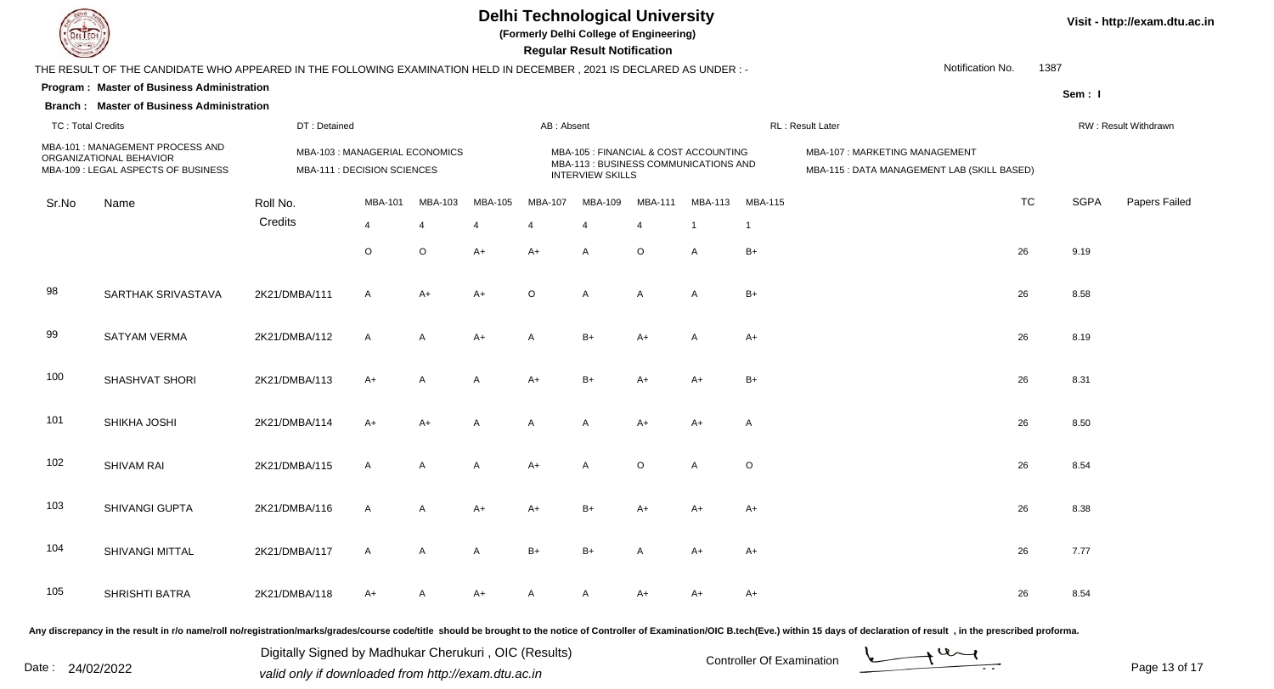

**(Formerly Delhi College of Engineering)**

 **Regular Result Notification**

| $\overline{\phantom{0}}$ |                                                                                                                      |                                                               |                |                |                       |                | <b>Regular Result Rothloution</b>                                                                         |                       |                |                |                                                                              |           |                      |               |
|--------------------------|----------------------------------------------------------------------------------------------------------------------|---------------------------------------------------------------|----------------|----------------|-----------------------|----------------|-----------------------------------------------------------------------------------------------------------|-----------------------|----------------|----------------|------------------------------------------------------------------------------|-----------|----------------------|---------------|
|                          | THE RESULT OF THE CANDIDATE WHO APPEARED IN THE FOLLOWING EXAMINATION HELD IN DECEMBER, 2021 IS DECLARED AS UNDER :- |                                                               |                |                |                       |                |                                                                                                           |                       |                |                | Notification No.                                                             | 1387      |                      |               |
|                          | Program: Master of Business Administration                                                                           |                                                               |                |                |                       |                |                                                                                                           |                       |                |                |                                                                              |           | Sem: I               |               |
|                          | <b>Branch: Master of Business Administration</b>                                                                     |                                                               |                |                |                       |                |                                                                                                           |                       |                |                |                                                                              |           |                      |               |
| <b>TC: Total Credits</b> |                                                                                                                      | DT: Detained                                                  |                |                |                       | AB: Absent     |                                                                                                           |                       |                |                | RL: Result Later                                                             |           | RW: Result Withdrawn |               |
|                          | MBA-101 : MANAGEMENT PROCESS AND<br>ORGANIZATIONAL BEHAVIOR<br>MBA-109 : LEGAL ASPECTS OF BUSINESS                   | MBA-103 : MANAGERIAL ECONOMICS<br>MBA-111 : DECISION SCIENCES |                |                |                       |                | MBA-105 : FINANCIAL & COST ACCOUNTING<br>MBA-113 : BUSINESS COMMUNICATIONS AND<br><b>INTERVIEW SKILLS</b> |                       |                |                | MBA-107: MARKETING MANAGEMENT<br>MBA-115 : DATA MANAGEMENT LAB (SKILL BASED) |           |                      |               |
| Sr.No                    | Name                                                                                                                 | Roll No.                                                      | MBA-101        | MBA-103        | MBA-105               | <b>MBA-107</b> | MBA-109                                                                                                   | <b>MBA-111</b>        | MBA-113        | <b>MBA-115</b> |                                                                              | <b>TC</b> | <b>SGPA</b>          | Papers Failed |
|                          |                                                                                                                      | Credits                                                       | $\overline{4}$ | $\overline{4}$ | $\boldsymbol{\Delta}$ |                | $\overline{4}$                                                                                            | $\boldsymbol{\Delta}$ | $\overline{1}$ | $\mathbf{1}$   |                                                                              |           |                      |               |
|                          |                                                                                                                      |                                                               | $\circ$        | $\circ$        | $A+$                  | A+             | A                                                                                                         | $\circ$               | A              | $B+$           |                                                                              | 26        | 9.19                 |               |
| 98                       | SARTHAK SRIVASTAVA                                                                                                   | 2K21/DMBA/111                                                 | $\mathsf{A}$   | A+             | $A+$                  | $\circ$        | A                                                                                                         | A                     | Α              | $B+$           |                                                                              | 26        | 8.58                 |               |
| 99                       | <b>SATYAM VERMA</b>                                                                                                  | 2K21/DMBA/112                                                 | $\mathsf{A}$   | A              | $A+$                  | A              | $B+$                                                                                                      | $A+$                  | Α              | $A+$           |                                                                              | 26        | 8.19                 |               |
| 100                      | SHASHVAT SHORI                                                                                                       | 2K21/DMBA/113                                                 | $A+$           | A              | $\mathsf{A}$          | $A+$           | $B+$                                                                                                      | $A+$                  | $A+$           | $B+$           |                                                                              | 26        | 8.31                 |               |
| 101                      | SHIKHA JOSHI                                                                                                         | 2K21/DMBA/114                                                 | $A+$           | A+             | A                     | A              | A                                                                                                         | $A+$                  | $A+$           | A              |                                                                              | 26        | 8.50                 |               |
| 102                      | <b>SHIVAM RAI</b>                                                                                                    | 2K21/DMBA/115                                                 | $\mathsf{A}$   | A              | $\mathsf{A}$          | $A+$           | A                                                                                                         | $\circ$               | A              | O              |                                                                              | 26        | 8.54                 |               |
| 103                      | SHIVANGI GUPTA                                                                                                       | 2K21/DMBA/116                                                 | $\mathsf{A}$   | $\mathsf{A}$   | $A+$                  | $A+$           | $B+$                                                                                                      | $A+$                  | $A+$           | $A+$           |                                                                              | 26        | 8.38                 |               |
| 104                      | SHIVANGI MITTAL                                                                                                      | 2K21/DMBA/117                                                 | $\mathsf{A}$   | A              | $\mathsf{A}$          | $B+$           | $B+$                                                                                                      | A                     | $A+$           | A+             |                                                                              | 26        | 7.77                 |               |
| 105                      | SHRISHTI BATRA                                                                                                       | 2K21/DMBA/118                                                 | A+             | A              | A+                    | A              | A                                                                                                         | A+                    | A+             | A+             |                                                                              | 26        | 8.54                 |               |
|                          |                                                                                                                      |                                                               |                |                |                       |                |                                                                                                           |                       |                |                |                                                                              |           |                      |               |

Any discrepancy in the result in r/o name/roll no/registration/marks/grades/course code/title should be brought to the notice of Controller of Examination/OIC B.tech(Eve.) within 15 days of declaration of result, in the pr

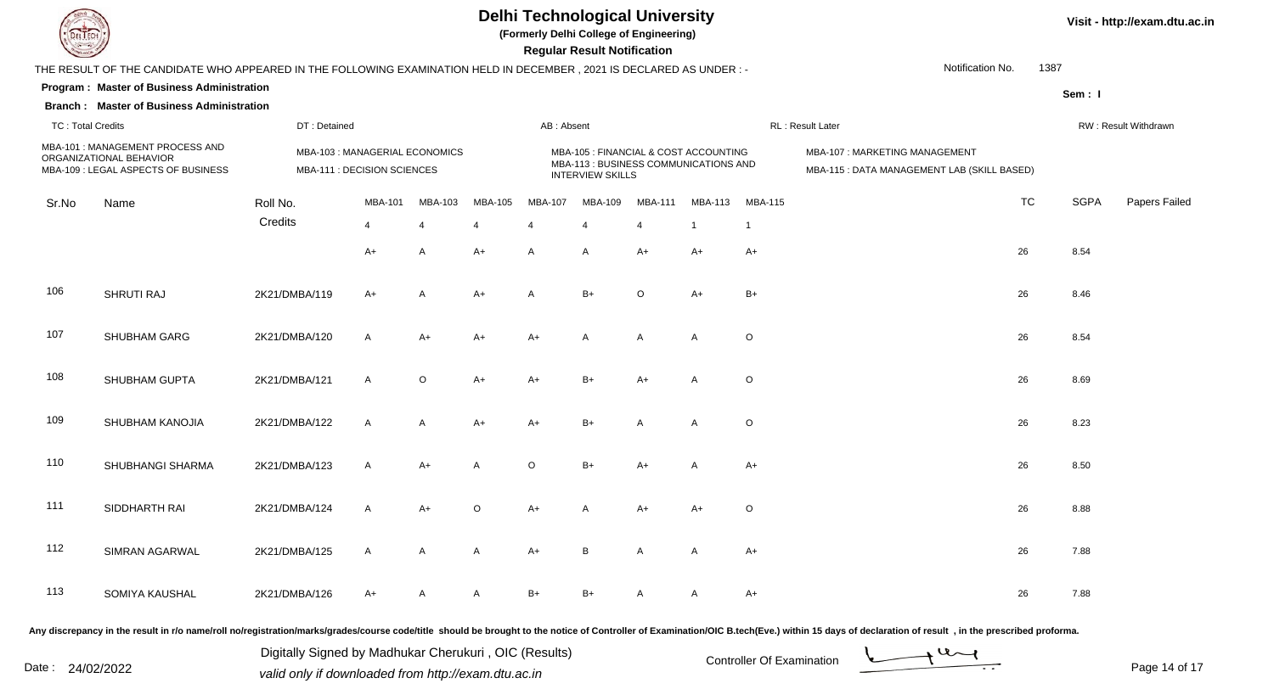

**(Formerly Delhi College of Engineering)**

 **Regular Result Notification**

| $\overline{\phantom{0}}$ |                                                                                                                      |                                                               |                |              |                                                                                                           |            | <b>Regular Result Rothloution</b> |                |                                                                              |             |                  |           |                      |               |  |
|--------------------------|----------------------------------------------------------------------------------------------------------------------|---------------------------------------------------------------|----------------|--------------|-----------------------------------------------------------------------------------------------------------|------------|-----------------------------------|----------------|------------------------------------------------------------------------------|-------------|------------------|-----------|----------------------|---------------|--|
|                          | THE RESULT OF THE CANDIDATE WHO APPEARED IN THE FOLLOWING EXAMINATION HELD IN DECEMBER, 2021 IS DECLARED AS UNDER :- |                                                               |                |              |                                                                                                           |            |                                   |                |                                                                              |             | Notification No. | 1387      |                      |               |  |
|                          | Program: Master of Business Administration                                                                           |                                                               |                |              |                                                                                                           |            |                                   |                |                                                                              |             |                  |           | Sem: I               |               |  |
|                          | <b>Branch: Master of Business Administration</b>                                                                     |                                                               |                |              |                                                                                                           |            |                                   |                |                                                                              |             |                  |           |                      |               |  |
| <b>TC: Total Credits</b> |                                                                                                                      | DT: Detained                                                  |                |              |                                                                                                           | AB: Absent |                                   |                |                                                                              |             | RL: Result Later |           | RW: Result Withdrawn |               |  |
|                          | MBA-101 : MANAGEMENT PROCESS AND<br>ORGANIZATIONAL BEHAVIOR<br>MBA-109 : LEGAL ASPECTS OF BUSINESS                   | MBA-103 : MANAGERIAL ECONOMICS<br>MBA-111 : DECISION SCIENCES |                |              | MBA-105 : FINANCIAL & COST ACCOUNTING<br>MBA-113 : BUSINESS COMMUNICATIONS AND<br><b>INTERVIEW SKILLS</b> |            |                                   |                | MBA-107: MARKETING MANAGEMENT<br>MBA-115 : DATA MANAGEMENT LAB (SKILL BASED) |             |                  |           |                      |               |  |
| Sr.No                    | Name                                                                                                                 | Roll No.                                                      | MBA-101        | MBA-103      | MBA-105                                                                                                   | MBA-107    | MBA-109                           | MBA-111        | MBA-113                                                                      | MBA-115     |                  | <b>TC</b> | <b>SGPA</b>          | Papers Failed |  |
|                          |                                                                                                                      | Credits                                                       | $\overline{4}$ | Δ            | 4                                                                                                         | 4          | $\overline{4}$                    | $\overline{4}$ | $\mathbf{1}$                                                                 | -1          |                  |           |                      |               |  |
|                          |                                                                                                                      |                                                               | $A+$           | A            | $A+$                                                                                                      | A          | A                                 | A+             | A+                                                                           | $A+$        |                  | 26        | 8.54                 |               |  |
| 106                      | SHRUTI RAJ                                                                                                           | 2K21/DMBA/119                                                 | $A+$           | $\mathsf{A}$ | $A+$                                                                                                      | A          | $B+$                              | $\circ$        | $A+$                                                                         | $B+$        |                  | 26        | 8.46                 |               |  |
| 107                      | SHUBHAM GARG                                                                                                         | 2K21/DMBA/120                                                 | $\mathsf{A}$   | $A+$         | A+                                                                                                        | $A+$       | A                                 | A              | A                                                                            | $\circ$     |                  | 26        | 8.54                 |               |  |
| 108                      | SHUBHAM GUPTA                                                                                                        | 2K21/DMBA/121                                                 | $\mathsf{A}$   | $\circ$      | $A+$                                                                                                      | $A+$       | $B+$                              | $A+$           | A                                                                            | $\circ$     |                  | 26        | 8.69                 |               |  |
| 109                      | SHUBHAM KANOJIA                                                                                                      | 2K21/DMBA/122                                                 | $\mathsf{A}$   | A            | $A+$                                                                                                      | $A+$       | $B+$                              | А              | A                                                                            | $\circ$     |                  | 26        | 8.23                 |               |  |
| 110                      | SHUBHANGI SHARMA                                                                                                     | 2K21/DMBA/123                                                 | $\mathsf{A}$   | $A+$         | A                                                                                                         | $\circ$    | $B+$                              | $A+$           | Α                                                                            | $A+$        |                  | 26        | 8.50                 |               |  |
| 111                      | SIDDHARTH RAI                                                                                                        | 2K21/DMBA/124                                                 | $\mathsf{A}$   | $A+$         | $\mathsf O$                                                                                               | $A+$       | A                                 | $A+$           | $A+$                                                                         | $\mathsf O$ |                  | 26        | 8.88                 |               |  |
| 112                      | SIMRAN AGARWAL                                                                                                       | 2K21/DMBA/125                                                 | $\mathsf{A}$   | A            | A                                                                                                         | $A+$       | В                                 | A              | A                                                                            | $A+$        |                  | 26        | 7.88                 |               |  |
| 113                      | SOMIYA KAUSHAL                                                                                                       | 2K21/DMBA/126                                                 | $A+$           | A            | A                                                                                                         | B+         | $B+$                              | A              | A                                                                            | A+          |                  | 26        | 7.88                 |               |  |

Any discrepancy in the result in r/o name/roll no/registration/marks/grades/course code/title should be brought to the notice of Controller of Examination/OIC B.tech(Eve.) within 15 days of declaration of result, in the pr

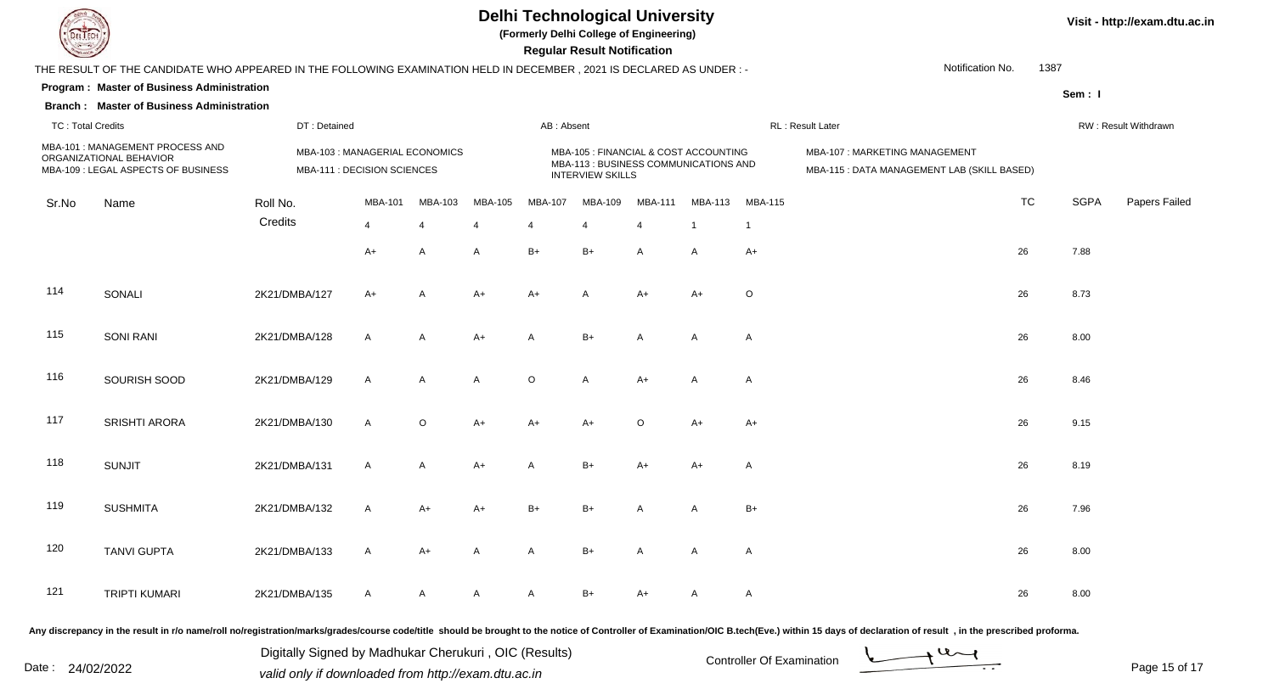

**(Formerly Delhi College of Engineering)**

 **Regular Result Notification**

| $\sim$                   |                                                                                                                      |               |                                                               |                |                |                | n <del>e</del> guiai n <del>e</del> suit notification                                                     |                |                |                |                                                                              |           |             |                      |  |
|--------------------------|----------------------------------------------------------------------------------------------------------------------|---------------|---------------------------------------------------------------|----------------|----------------|----------------|-----------------------------------------------------------------------------------------------------------|----------------|----------------|----------------|------------------------------------------------------------------------------|-----------|-------------|----------------------|--|
|                          | THE RESULT OF THE CANDIDATE WHO APPEARED IN THE FOLLOWING EXAMINATION HELD IN DECEMBER, 2021 IS DECLARED AS UNDER :- |               |                                                               |                |                |                |                                                                                                           |                |                |                | Notification No.                                                             | 1387      |             |                      |  |
|                          | Program: Master of Business Administration                                                                           |               |                                                               |                |                |                |                                                                                                           |                |                |                |                                                                              |           | Sem: I      |                      |  |
|                          | <b>Branch: Master of Business Administration</b>                                                                     |               |                                                               |                |                |                |                                                                                                           |                |                |                |                                                                              |           |             |                      |  |
| <b>TC: Total Credits</b> |                                                                                                                      | DT: Detained  |                                                               |                |                | AB: Absent     |                                                                                                           |                |                |                | RL: Result Later                                                             |           |             | RW: Result Withdrawn |  |
|                          | MBA-101 : MANAGEMENT PROCESS AND<br>ORGANIZATIONAL BEHAVIOR<br>MBA-109 : LEGAL ASPECTS OF BUSINESS                   |               | MBA-103 : MANAGERIAL ECONOMICS<br>MBA-111 : DECISION SCIENCES |                |                |                | MBA-105 : FINANCIAL & COST ACCOUNTING<br>MBA-113 : BUSINESS COMMUNICATIONS AND<br><b>INTERVIEW SKILLS</b> |                |                |                | MBA-107: MARKETING MANAGEMENT<br>MBA-115 : DATA MANAGEMENT LAB (SKILL BASED) |           |             |                      |  |
| Sr.No                    | Name                                                                                                                 | Roll No.      | MBA-101                                                       | <b>MBA-103</b> | MBA-105        | MBA-107        | <b>MBA-109</b>                                                                                            | <b>MBA-111</b> | <b>MBA-113</b> | <b>MBA-115</b> |                                                                              | <b>TC</b> | <b>SGPA</b> | Papers Failed        |  |
|                          |                                                                                                                      | Credits       | $\overline{4}$                                                | $\overline{4}$ | 4              | $\overline{4}$ | $\overline{4}$                                                                                            | $\overline{4}$ | $\overline{1}$ | $\overline{1}$ |                                                                              |           |             |                      |  |
|                          |                                                                                                                      |               | $A+$                                                          | $\mathsf{A}$   | $\mathsf{A}$   | $B+$           | $B+$                                                                                                      | A              | A              | $A+$           |                                                                              | 26        | 7.88        |                      |  |
| 114                      | SONALI                                                                                                               | 2K21/DMBA/127 | $A+$                                                          | $\mathsf{A}$   | $A+$           | $A+$           | $\mathsf{A}$                                                                                              | $A+$           | $A+$           | O              |                                                                              | 26        | 8.73        |                      |  |
| 115                      | <b>SONI RANI</b>                                                                                                     | 2K21/DMBA/128 | $\mathsf{A}$                                                  | A              | $A+$           | $\mathsf{A}$   | $B+$                                                                                                      | A              | A              | A              |                                                                              | 26        | 8.00        |                      |  |
| 116                      | SOURISH SOOD                                                                                                         | 2K21/DMBA/129 | $\mathsf{A}$                                                  | $\mathsf{A}$   | $\overline{A}$ | $\circ$        | $\mathsf{A}$                                                                                              | $A+$           | A              | A              |                                                                              | 26        | 8.46        |                      |  |
| 117                      | <b>SRISHTI ARORA</b>                                                                                                 | 2K21/DMBA/130 | A                                                             | $\circ$        | $A+$           | $A+$           | A+                                                                                                        | $\circ$        | $A+$           | A+             |                                                                              | 26        | 9.15        |                      |  |
| 118                      | <b>SUNJIT</b>                                                                                                        | 2K21/DMBA/131 | A                                                             | Α              | $A+$           | A              | $B+$                                                                                                      | A+             | $A+$           | A              |                                                                              | 26        | 8.19        |                      |  |
| 119                      | <b>SUSHMITA</b>                                                                                                      | 2K21/DMBA/132 | A                                                             | A+             | $A+$           | $B+$           | $B+$                                                                                                      | A              | A              | $B+$           |                                                                              | 26        | 7.96        |                      |  |
| 120                      | <b>TANVI GUPTA</b>                                                                                                   | 2K21/DMBA/133 | $\mathsf{A}$                                                  | A+             | $\mathsf{A}$   | $\mathsf{A}$   | $B+$                                                                                                      | A              | A              | A              |                                                                              | 26        | 8.00        |                      |  |
| 121                      | <b>TRIPTI KUMARI</b>                                                                                                 | 2K21/DMBA/135 | $\mathsf{A}$                                                  | A              | $\mathsf{A}$   | A              | $B+$                                                                                                      | A+             | A              | A              |                                                                              | 26        | 8.00        |                      |  |
|                          |                                                                                                                      |               |                                                               |                |                |                |                                                                                                           |                |                |                |                                                                              |           |             |                      |  |

Any discrepancy in the result in r/o name/roll no/registration/marks/grades/course code/title should be brought to the notice of Controller of Examination/OIC B.tech(Eve.) within 15 days of declaration of result, in the pr

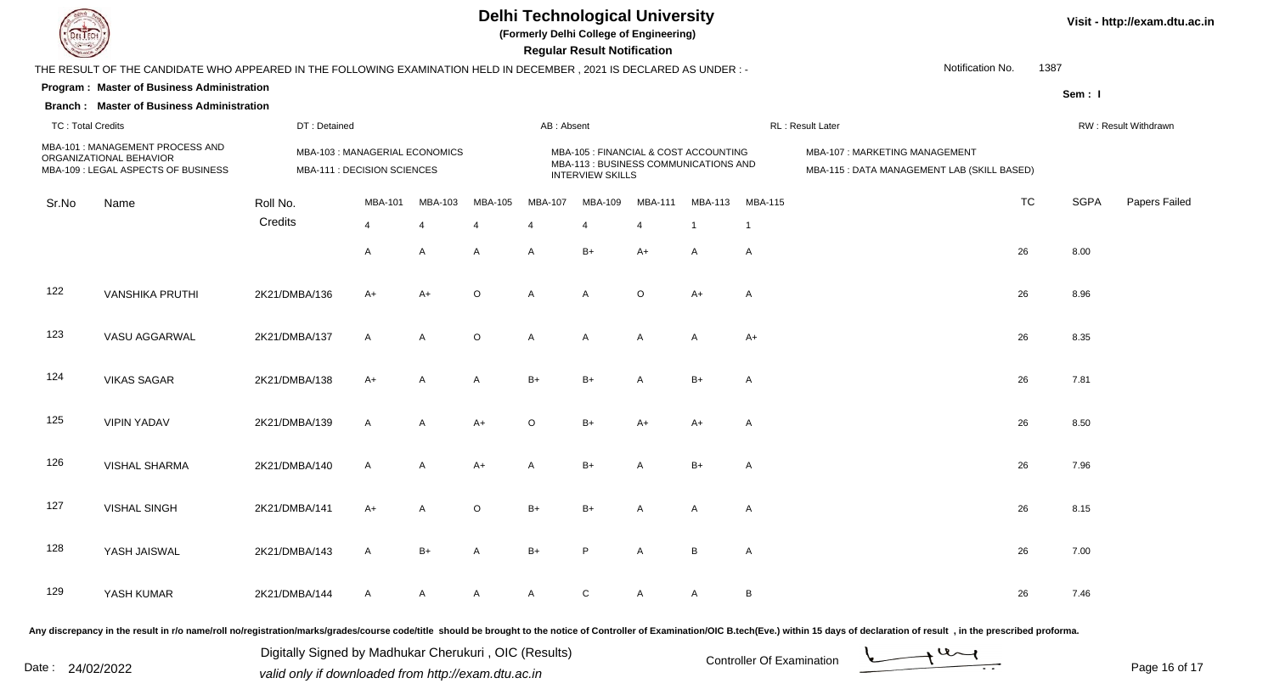

**(Formerly Delhi College of Engineering)**

 **Regular Result Notification**

| $\sim$                                                                                             |                                                                                                                      |               |                                                              |                |             |                | Regular Result Notification                                                                               |                |                |                |                                                                              |      |             |                      |
|----------------------------------------------------------------------------------------------------|----------------------------------------------------------------------------------------------------------------------|---------------|--------------------------------------------------------------|----------------|-------------|----------------|-----------------------------------------------------------------------------------------------------------|----------------|----------------|----------------|------------------------------------------------------------------------------|------|-------------|----------------------|
|                                                                                                    | THE RESULT OF THE CANDIDATE WHO APPEARED IN THE FOLLOWING EXAMINATION HELD IN DECEMBER, 2021 IS DECLARED AS UNDER :- |               |                                                              |                |             |                |                                                                                                           |                |                |                | Notification No.                                                             | 1387 |             |                      |
|                                                                                                    | Program: Master of Business Administration                                                                           |               |                                                              |                |             |                |                                                                                                           |                |                |                |                                                                              |      | Sem: I      |                      |
|                                                                                                    | <b>Branch: Master of Business Administration</b>                                                                     |               |                                                              |                |             |                |                                                                                                           |                |                |                |                                                                              |      |             |                      |
| <b>TC: Total Credits</b>                                                                           |                                                                                                                      | DT: Detained  |                                                              |                |             | AB: Absent     |                                                                                                           |                |                |                | RL: Result Later                                                             |      |             | RW: Result Withdrawn |
| MBA-101 : MANAGEMENT PROCESS AND<br>ORGANIZATIONAL BEHAVIOR<br>MBA-109 : LEGAL ASPECTS OF BUSINESS |                                                                                                                      |               | MBA-103: MANAGERIAL ECONOMICS<br>MBA-111 : DECISION SCIENCES |                |             |                | MBA-105 : FINANCIAL & COST ACCOUNTING<br>MBA-113 : BUSINESS COMMUNICATIONS AND<br><b>INTERVIEW SKILLS</b> |                |                |                | MBA-107: MARKETING MANAGEMENT<br>MBA-115 : DATA MANAGEMENT LAB (SKILL BASED) |      |             |                      |
| Sr.No                                                                                              | Name                                                                                                                 | Roll No.      | <b>MBA-101</b>                                               | <b>MBA-103</b> | MBA-105     | <b>MBA-107</b> | MBA-109                                                                                                   | <b>MBA-111</b> | MBA-113        | <b>MBA-115</b> |                                                                              | TC   | <b>SGPA</b> | Papers Failed        |
|                                                                                                    |                                                                                                                      | Credits       | $\overline{4}$                                               | $\overline{4}$ | 4           | 4              | $\overline{4}$                                                                                            | 4              | $\overline{1}$ | -1             |                                                                              |      |             |                      |
|                                                                                                    |                                                                                                                      |               | A                                                            | A              | A           | A              | $B+$                                                                                                      | $A+$           | A              | A              |                                                                              | 26   | 8.00        |                      |
| 122                                                                                                | <b>VANSHIKA PRUTHI</b>                                                                                               | 2K21/DMBA/136 | $A+$                                                         | $A+$           | $\circ$     | $\overline{A}$ | $\overline{A}$                                                                                            | $\circ$        | $A+$           | A              |                                                                              | 26   | 8.96        |                      |
| 123                                                                                                | VASU AGGARWAL                                                                                                        | 2K21/DMBA/137 | $\mathsf{A}$                                                 | A              | $\mathsf O$ | $\mathsf{A}$   | Α                                                                                                         | A              | $\mathsf{A}$   | $A+$           |                                                                              | 26   | 8.35        |                      |
| 124                                                                                                | <b>VIKAS SAGAR</b>                                                                                                   | 2K21/DMBA/138 | $A+$                                                         | A              | A           | $B+$           | $B+$                                                                                                      | A              | $B+$           | A              |                                                                              | 26   | 7.81        |                      |
| 125                                                                                                | <b>VIPIN YADAV</b>                                                                                                   | 2K21/DMBA/139 | A                                                            | Α              | $A+$        | $\circ$        | $B+$                                                                                                      | $A+$           | $A+$           | A              |                                                                              | 26   | 8.50        |                      |
| 126                                                                                                | <b>VISHAL SHARMA</b>                                                                                                 | 2K21/DMBA/140 | $\mathsf{A}$                                                 | A              | $A+$        | A              | $B+$                                                                                                      | A              | $B+$           | A              |                                                                              | 26   | 7.96        |                      |
| 127                                                                                                | <b>VISHAL SINGH</b>                                                                                                  | 2K21/DMBA/141 | $A+$                                                         | A              | $\circ$     | $B+$           | $B+$                                                                                                      | A              | A              | A              |                                                                              | 26   | 8.15        |                      |
| 128                                                                                                | YASH JAISWAL                                                                                                         | 2K21/DMBA/143 | $\mathsf{A}$                                                 | $B+$           | A           | $B+$           | P                                                                                                         | A              | B              | A              |                                                                              | 26   | 7.00        |                      |
| 129                                                                                                | YASH KUMAR                                                                                                           | 2K21/DMBA/144 | $\mathsf{A}$                                                 | A              | A           | $\mathsf{A}$   | $\mathbf C$                                                                                               | Α              | $\mathsf{A}$   | В              |                                                                              | 26   | 7.46        |                      |
|                                                                                                    |                                                                                                                      |               |                                                              |                |             |                |                                                                                                           |                |                |                |                                                                              |      |             |                      |

Any discrepancy in the result in r/o name/roll no/registration/marks/grades/course code/title should be brought to the notice of Controller of Examination/OIC B.tech(Eve.) within 15 days of declaration of result, in the pr